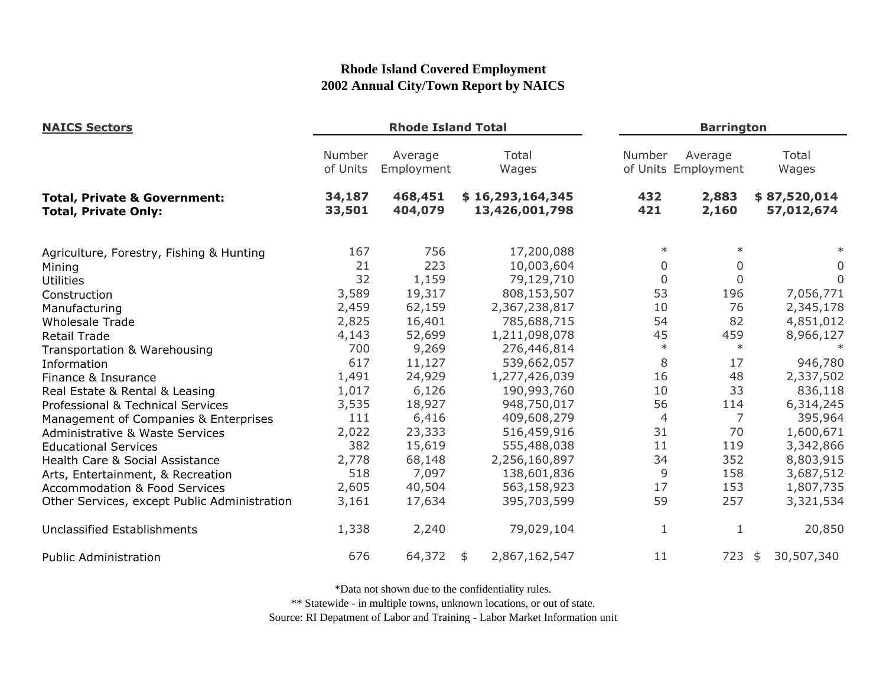| <b>NAICS Sectors</b>                                                   | <b>Rhode Island Total</b> |                       |                                    |                | <b>Barrington</b>              |                            |  |  |
|------------------------------------------------------------------------|---------------------------|-----------------------|------------------------------------|----------------|--------------------------------|----------------------------|--|--|
|                                                                        | Number<br>of Units        | Average<br>Employment | Total<br>Wages                     | Number         | Average<br>of Units Employment | Total<br>Wages             |  |  |
| <b>Total, Private &amp; Government:</b><br><b>Total, Private Only:</b> | 34,187<br>33,501          | 468,451<br>404,079    | \$16,293,164,345<br>13,426,001,798 | 432<br>421     | 2,883<br>2,160                 | \$87,520,014<br>57,012,674 |  |  |
| Agriculture, Forestry, Fishing & Hunting                               | 167                       | 756                   | 17,200,088                         | $\ast$         | $\ast$                         |                            |  |  |
| Mining                                                                 | 21                        | 223                   | 10,003,604                         | $\Omega$       | $\mathbf{0}$                   | 0                          |  |  |
| <b>Utilities</b>                                                       | 32                        | 1,159                 | 79,129,710                         | $\overline{0}$ | $\mathbf 0$                    | $\overline{0}$             |  |  |
| Construction                                                           | 3,589                     | 19,317                | 808,153,507                        | 53             | 196                            | 7,056,771                  |  |  |
| Manufacturing                                                          | 2,459                     | 62,159                | 2,367,238,817                      | 10             | 76                             | 2,345,178                  |  |  |
| <b>Wholesale Trade</b>                                                 | 2,825                     | 16,401                | 785,688,715                        | 54             | 82                             | 4,851,012                  |  |  |
| <b>Retail Trade</b>                                                    | 4,143                     | 52,699                | 1,211,098,078                      | 45             | 459                            | 8,966,127                  |  |  |
| Transportation & Warehousing                                           | 700                       | 9,269                 | 276,446,814                        | $\ast$         | $\ast$                         |                            |  |  |
| Information                                                            | 617                       | 11,127                | 539,662,057                        | 8              | 17                             | 946,780                    |  |  |
| Finance & Insurance                                                    | 1,491                     | 24,929                | 1,277,426,039                      | 16             | 48                             | 2,337,502                  |  |  |
| Real Estate & Rental & Leasing                                         | 1,017                     | 6,126                 | 190,993,760                        | 10             | 33                             | 836,118                    |  |  |
| Professional & Technical Services                                      | 3,535                     | 18,927                | 948,750,017                        | 56             | 114                            | 6,314,245                  |  |  |
| Management of Companies & Enterprises                                  | 111                       | 6,416                 | 409,608,279                        | $\overline{4}$ | 7                              | 395,964                    |  |  |
| <b>Administrative &amp; Waste Services</b>                             | 2,022                     | 23,333                | 516,459,916                        | 31             | 70                             | 1,600,671                  |  |  |
| <b>Educational Services</b>                                            | 382                       | 15,619                | 555,488,038                        | 11             | 119                            | 3,342,866                  |  |  |
| Health Care & Social Assistance                                        | 2,778                     | 68,148                | 2,256,160,897                      | 34             | 352                            | 8,803,915                  |  |  |
| Arts, Entertainment, & Recreation                                      | 518                       | 7,097                 | 138,601,836                        | 9              | 158                            | 3,687,512                  |  |  |
| <b>Accommodation &amp; Food Services</b>                               | 2,605                     | 40,504                | 563,158,923                        | 17             | 153                            | 1,807,735                  |  |  |
| Other Services, except Public Administration                           | 3,161                     | 17,634                | 395,703,599                        | 59             | 257                            | 3,321,534                  |  |  |
| Unclassified Establishments                                            | 1,338                     | 2,240                 | 79,029,104                         | 1              | 1                              | 20,850                     |  |  |
| <b>Public Administration</b>                                           | 676                       | 64,372                | 2,867,162,547<br>\$                | 11             | 723                            | 30,507,340<br>\$           |  |  |

\*Data not shown due to the confidentiality rules.

\*\* Statewide - in multiple towns, unknown locations, or out of state.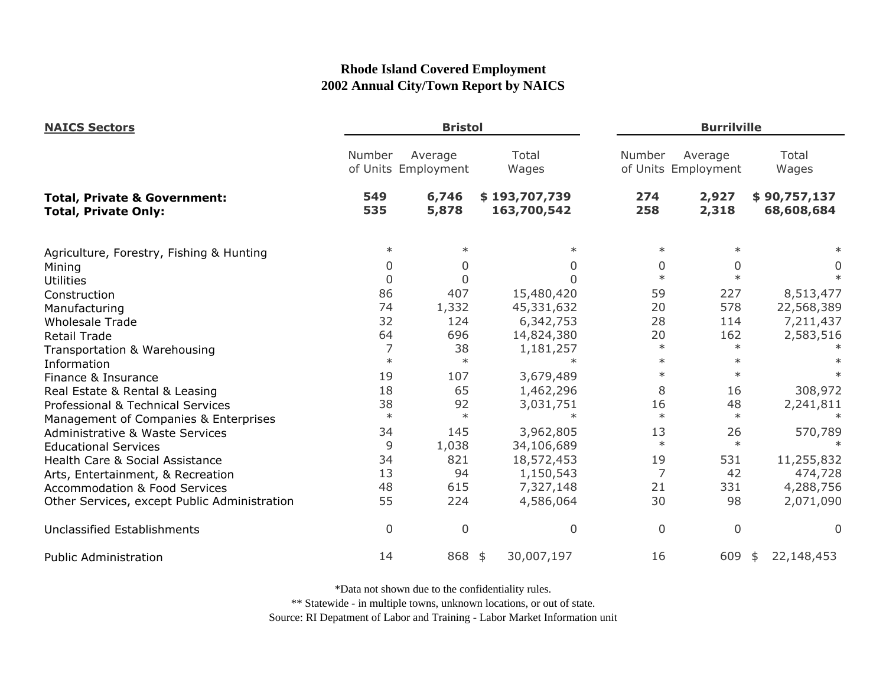| <b>NAICS Sectors</b>                                                   |                | <b>Bristol</b>                 |                              |                | <b>Burrilville</b>             |                            |  |
|------------------------------------------------------------------------|----------------|--------------------------------|------------------------------|----------------|--------------------------------|----------------------------|--|
|                                                                        | Number         | Average<br>of Units Employment | Total<br>Wages               | Number         | Average<br>of Units Employment | Total<br>Wages             |  |
| <b>Total, Private &amp; Government:</b><br><b>Total, Private Only:</b> | 549<br>535     | 6,746<br>5,878                 | \$193,707,739<br>163,700,542 | 274<br>258     | 2,927<br>2,318                 | \$90,757,137<br>68,608,684 |  |
| Agriculture, Forestry, Fishing & Hunting                               | $\ast$         | $\ast$                         | $\ast$                       | $\ast$         | $\ast$                         |                            |  |
| Mining                                                                 | 0              | 0                              | 0                            | 0              | $\Omega$                       | $\overline{0}$             |  |
| <b>Utilities</b>                                                       | $\mathbf 0$    | $\Omega$                       | ∩                            | $\ast$         | $\ast$                         |                            |  |
| Construction                                                           | 86             | 407                            | 15,480,420                   | 59             | 227                            | 8,513,477                  |  |
| Manufacturing                                                          | 74             | 1,332                          | 45,331,632                   | 20             | 578                            | 22,568,389                 |  |
| <b>Wholesale Trade</b>                                                 | 32             | 124                            | 6,342,753                    | 28             | 114                            | 7,211,437                  |  |
| <b>Retail Trade</b>                                                    | 64             | 696                            | 14,824,380                   | 20             | 162                            | 2,583,516                  |  |
| Transportation & Warehousing                                           | 7              | 38                             | 1,181,257                    | $\ast$         | $\ast$                         |                            |  |
| Information                                                            | $\ast$         | $\ast$                         | $\ast$                       | $\ast$         | $\ast$                         |                            |  |
| Finance & Insurance                                                    | 19             | 107                            | 3,679,489                    | $\ast$         | $\ast$                         |                            |  |
| Real Estate & Rental & Leasing                                         | 18             | 65                             | 1,462,296                    | 8              | 16                             | 308,972                    |  |
| Professional & Technical Services                                      | 38             | 92                             | 3,031,751                    | 16             | 48                             | 2,241,811                  |  |
| Management of Companies & Enterprises                                  | $\ast$         | $\ast$                         | $\ast$                       | $\ast$         | $\ast$                         |                            |  |
| <b>Administrative &amp; Waste Services</b>                             | 34             | 145                            | 3,962,805                    | 13             | 26                             | 570,789                    |  |
| <b>Educational Services</b>                                            | 9              | 1,038                          | 34,106,689                   | $\ast$         | $\ast$                         |                            |  |
| Health Care & Social Assistance                                        | 34             | 821                            | 18,572,453                   | 19             | 531                            | 11,255,832                 |  |
| Arts, Entertainment, & Recreation                                      | 13             | 94                             | 1,150,543                    | 7              | 42                             | 474,728                    |  |
| <b>Accommodation &amp; Food Services</b>                               | 48             | 615                            | 7,327,148                    | 21             | 331                            | 4,288,756                  |  |
| Other Services, except Public Administration                           | 55             | 224                            | 4,586,064                    | 30             | 98                             | 2,071,090                  |  |
| Unclassified Establishments                                            | $\overline{0}$ | $\mathbf 0$                    | $\mathbf 0$                  | $\overline{0}$ | $\overline{0}$                 | $\Omega$                   |  |
| <b>Public Administration</b>                                           | 14             | 868 \$                         | 30,007,197                   | 16             | 609                            | 22,148,453<br>\$           |  |

\*Data not shown due to the confidentiality rules.

\*\* Statewide - in multiple towns, unknown locations, or out of state.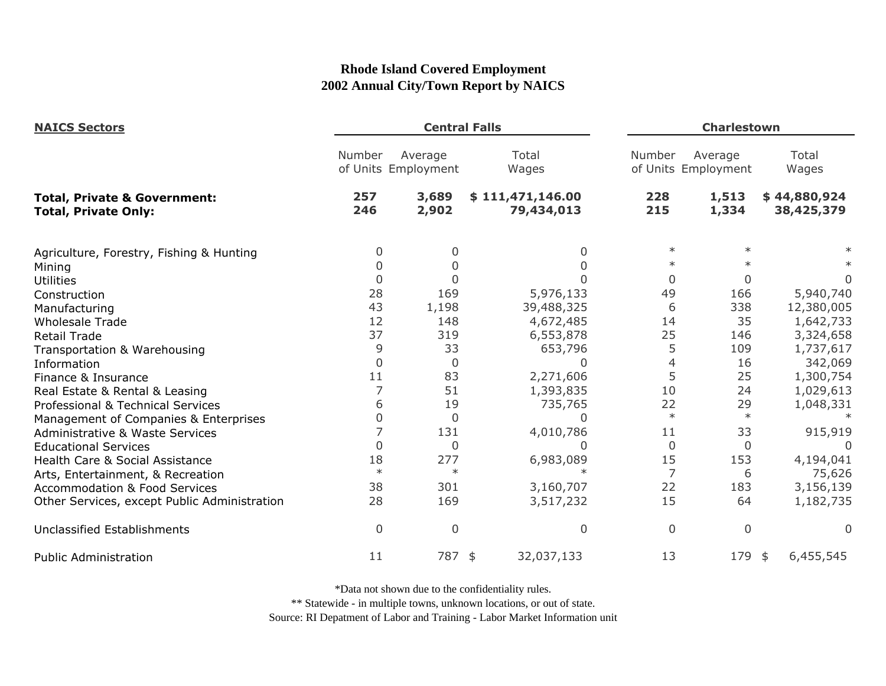| <b>NAICS Sectors</b>                                                   |             | <b>Central Falls</b>           |                                | <b>Charlestown</b> |                                |                            |
|------------------------------------------------------------------------|-------------|--------------------------------|--------------------------------|--------------------|--------------------------------|----------------------------|
|                                                                        | Number      | Average<br>of Units Employment | Total<br>Wages                 | Number             | Average<br>of Units Employment | Total<br>Wages             |
| <b>Total, Private &amp; Government:</b><br><b>Total, Private Only:</b> | 257<br>246  | 3,689<br>2,902                 | \$111,471,146.00<br>79,434,013 | 228<br>215         | 1,513<br>1,334                 | \$44,880,924<br>38,425,379 |
| Agriculture, Forestry, Fishing & Hunting                               | 0           | 0                              | 0                              | $\ast$             |                                |                            |
| Mining                                                                 |             | 0                              |                                | $\ast$             |                                |                            |
| <b>Utilities</b>                                                       | 0           | 0                              |                                | $\Omega$           | $\Omega$                       | 0                          |
| Construction                                                           | 28          | 169                            | 5,976,133                      | 49                 | 166                            | 5,940,740                  |
| Manufacturing                                                          | 43          | 1,198                          | 39,488,325                     | 6                  | 338                            | 12,380,005                 |
| <b>Wholesale Trade</b>                                                 | 12          | 148                            | 4,672,485                      | 14                 | 35                             | 1,642,733                  |
| <b>Retail Trade</b>                                                    | 37          | 319                            | 6,553,878                      | 25                 | 146                            | 3,324,658                  |
| Transportation & Warehousing                                           | 9           | 33                             | 653,796                        | 5                  | 109                            | 1,737,617                  |
| Information                                                            | $\Omega$    | $\mathbf 0$                    | U                              | 4                  | 16                             | 342,069                    |
| Finance & Insurance                                                    | 11          | 83                             | 2,271,606                      | 5                  | 25                             | 1,300,754                  |
| Real Estate & Rental & Leasing                                         |             | 51                             | 1,393,835                      | 10                 | 24                             | 1,029,613                  |
| Professional & Technical Services                                      | 6           | 19                             | 735,765                        | 22                 | 29                             | 1,048,331                  |
| Management of Companies & Enterprises                                  | 0           | 0                              | O                              | $\ast$             | $\ast$                         |                            |
| <b>Administrative &amp; Waste Services</b>                             |             | 131                            | 4,010,786                      | 11                 | 33                             | 915,919                    |
| <b>Educational Services</b>                                            | $\Omega$    | 0                              | ∩                              | 0                  | $\mathbf{0}$                   |                            |
| Health Care & Social Assistance                                        | 18          | 277                            | 6,983,089                      | 15                 | 153                            | 4,194,041                  |
| Arts, Entertainment, & Recreation                                      | $\ast$      | $\ast$                         |                                | 7                  | 6                              | 75,626                     |
| <b>Accommodation &amp; Food Services</b>                               | 38          | 301                            | 3,160,707                      | 22                 | 183                            | 3,156,139                  |
| Other Services, except Public Administration                           | 28          | 169                            | 3,517,232                      | 15                 | 64                             | 1,182,735                  |
| <b>Unclassified Establishments</b>                                     | $\mathbf 0$ | $\boldsymbol{0}$               | 0                              | 0                  | $\Omega$                       | $\Omega$                   |
| <b>Public Administration</b>                                           | 11          | 787 \$                         | 32,037,133                     | 13                 | 179                            | 6,455,545<br>\$            |

\*Data not shown due to the confidentiality rules.

\*\* Statewide - in multiple towns, unknown locations, or out of state.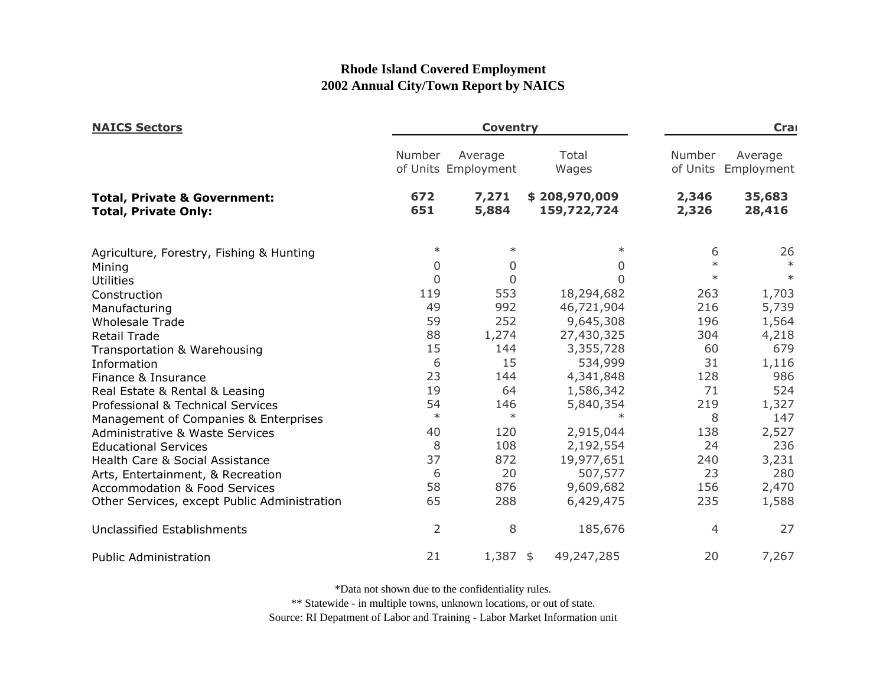| <b>NAICS Sectors</b>                                                   |            | <b>Coventry</b>                | Cra                          |                |                                |
|------------------------------------------------------------------------|------------|--------------------------------|------------------------------|----------------|--------------------------------|
|                                                                        | Number     | Average<br>of Units Employment | Total<br>Wages               | Number         | Average<br>of Units Employment |
| <b>Total, Private &amp; Government:</b><br><b>Total, Private Only:</b> | 672<br>651 | 7,271<br>5,884                 | \$208,970,009<br>159,722,724 | 2,346<br>2,326 | 35,683<br>28,416               |
| Agriculture, Forestry, Fishing & Hunting                               | $\ast$     | $\ast$                         | $\ast$                       | 6              | 26                             |
| Mining                                                                 | 0          | $\overline{0}$                 | $\Omega$                     | $\ast$         | $\ast$                         |
| <b>Utilities</b>                                                       | $\Omega$   | $\overline{0}$                 | $\Omega$                     | $\ast$         | $\ast$                         |
| Construction                                                           | 119        | 553                            | 18,294,682                   | 263            | 1,703                          |
| Manufacturing                                                          | 49         | 992                            | 46,721,904                   | 216            | 5,739                          |
| <b>Wholesale Trade</b>                                                 | 59         | 252                            | 9,645,308                    | 196            | 1,564                          |
| <b>Retail Trade</b>                                                    | 88         | 1,274                          | 27,430,325                   | 304            | 4,218                          |
| Transportation & Warehousing                                           | 15         | 144                            | 3,355,728                    | 60             | 679                            |
| Information                                                            | 6          | 15                             | 534,999                      | 31             | 1,116                          |
| Finance & Insurance                                                    | 23         | 144                            | 4,341,848                    | 128            | 986                            |
| Real Estate & Rental & Leasing                                         | 19         | 64                             | 1,586,342                    | 71             | 524                            |
| Professional & Technical Services                                      | 54         | 146                            | 5,840,354                    | 219            | 1,327                          |
| Management of Companies & Enterprises                                  | $\ast$     | $\ast$                         | $\ast$                       | 8              | 147                            |
| <b>Administrative &amp; Waste Services</b>                             | 40         | 120                            | 2,915,044                    | 138            | 2,527                          |
| <b>Educational Services</b>                                            | 8          | 108                            | 2,192,554                    | 24             | 236                            |
| Health Care & Social Assistance                                        | 37         | 872                            | 19,977,651                   | 240            | 3,231                          |
| Arts, Entertainment, & Recreation                                      | 6          | 20                             | 507,577                      | 23             | 280                            |
| <b>Accommodation &amp; Food Services</b>                               | 58         | 876                            | 9,609,682                    | 156            | 2,470                          |
| Other Services, except Public Administration                           | 65         | 288                            | 6,429,475                    | 235            | 1,588                          |
| Unclassified Establishments                                            | 2          | 8                              | 185,676                      | 4              | 27                             |
| <b>Public Administration</b>                                           | 21         | $1,387$ \$                     | 49,247,285                   | 20             | 7,267                          |

\*Data not shown due to the confidentiality rules.

\*\* Statewide - in multiple towns, unknown locations, or out of state.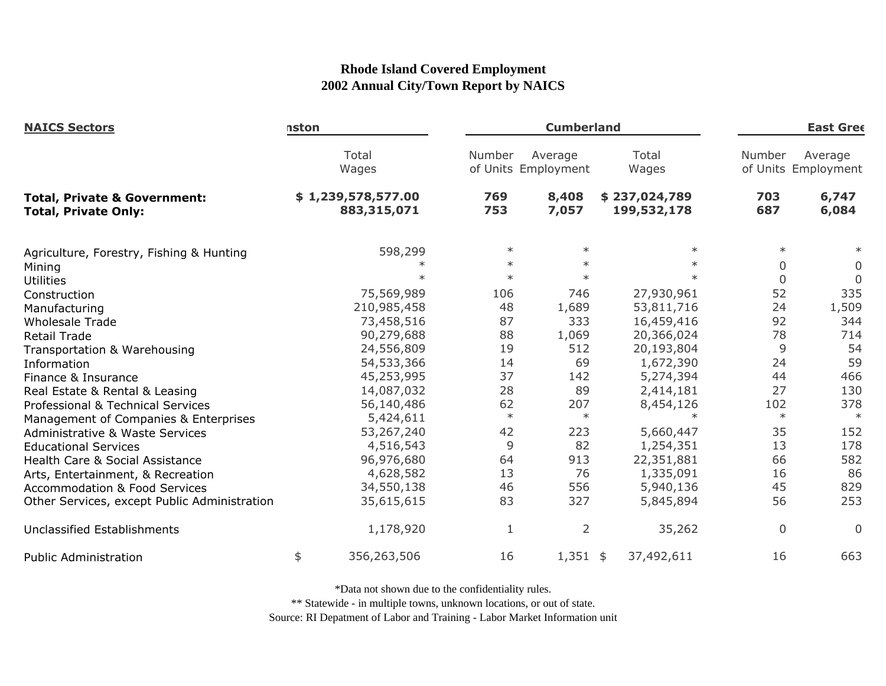| <b>NAICS Sectors</b>                                                   | nston              |             |              |                                                  | <b>Cumberland</b><br><b>East Gree</b> |                |                                |  |
|------------------------------------------------------------------------|--------------------|-------------|--------------|--------------------------------------------------|---------------------------------------|----------------|--------------------------------|--|
|                                                                        | Total<br>Wages     |             | Number       | Total<br>Average<br>of Units Employment<br>Wages |                                       | Number         | Average<br>of Units Employment |  |
| <b>Total, Private &amp; Government:</b><br><b>Total, Private Only:</b> | \$1,239,578,577.00 | 883,315,071 | 769<br>753   | 8,408<br>7,057                                   | \$237,024,789<br>199,532,178          | 703<br>687     | 6,747<br>6,084                 |  |
| Agriculture, Forestry, Fishing & Hunting                               |                    | 598,299     | $\ast$       | $\ast$                                           | $\ast$                                | $\ast$         | $\ast$                         |  |
| Mining                                                                 |                    |             | $\ast$       | $\ast$                                           | $\ast$                                | 0              | 0                              |  |
| <b>Utilities</b>                                                       |                    |             | $\ast$       | $\ast$                                           | $\ast$                                | $\overline{0}$ | $\Omega$                       |  |
| Construction                                                           |                    | 75,569,989  | 106          | 746                                              | 27,930,961                            | 52             | 335                            |  |
| Manufacturing                                                          |                    | 210,985,458 | 48           | 1,689                                            | 53,811,716                            | 24             | 1,509                          |  |
| <b>Wholesale Trade</b>                                                 |                    | 73,458,516  | 87           | 333                                              | 16,459,416                            | 92             | 344                            |  |
| <b>Retail Trade</b>                                                    |                    | 90,279,688  | 88           | 1,069                                            | 20,366,024                            | 78             | 714                            |  |
| Transportation & Warehousing                                           |                    | 24,556,809  | 19           | 512                                              | 20,193,804                            | 9              | 54                             |  |
| Information                                                            |                    | 54,533,366  | 14           | 69                                               | 1,672,390                             | 24             | 59                             |  |
| Finance & Insurance                                                    |                    | 45,253,995  | 37           | 142                                              | 5,274,394                             | 44             | 466                            |  |
| Real Estate & Rental & Leasing                                         |                    | 14,087,032  | 28           | 89                                               | 2,414,181                             | 27             | 130                            |  |
| Professional & Technical Services                                      |                    | 56,140,486  | 62           | 207                                              | 8,454,126                             | 102            | 378                            |  |
| Management of Companies & Enterprises                                  |                    | 5,424,611   | $\ast$       | $\ast$                                           | $\ast$                                | $\ast$         | $\ast$                         |  |
| <b>Administrative &amp; Waste Services</b>                             |                    | 53,267,240  | 42           | 223                                              | 5,660,447                             | 35             | 152                            |  |
| <b>Educational Services</b>                                            |                    | 4,516,543   | 9            | 82                                               | 1,254,351                             | 13             | 178                            |  |
| Health Care & Social Assistance                                        |                    | 96,976,680  | 64           | 913                                              | 22,351,881                            | 66             | 582                            |  |
| Arts, Entertainment, & Recreation                                      |                    | 4,628,582   | 13           | 76                                               | 1,335,091                             | 16             | 86                             |  |
| <b>Accommodation &amp; Food Services</b>                               |                    | 34,550,138  | 46           | 556                                              | 5,940,136                             | 45             | 829                            |  |
| Other Services, except Public Administration                           |                    | 35,615,615  | 83           | 327                                              | 5,845,894                             | 56             | 253                            |  |
| <b>Unclassified Establishments</b>                                     |                    | 1,178,920   | $\mathbf{1}$ | 2                                                | 35,262                                | 0              | $\Omega$                       |  |
| <b>Public Administration</b>                                           | \$                 | 356,263,506 | 16           | $1,351$ \$                                       | 37,492,611                            | 16             | 663                            |  |

\*Data not shown due to the confidentiality rules.

\*\* Statewide - in multiple towns, unknown locations, or out of state.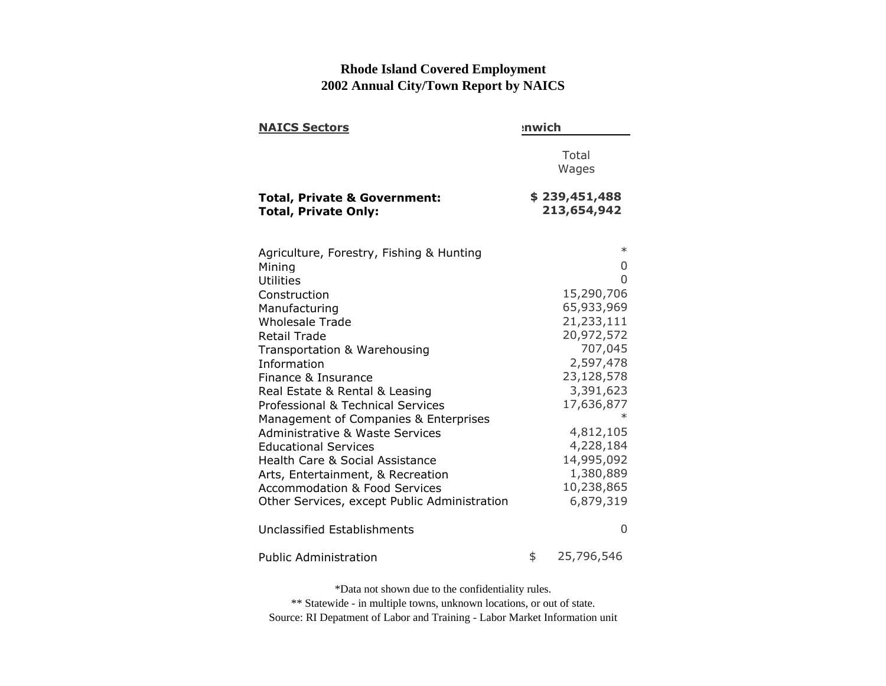| <b>NAICS Sectors</b>                                                   | :nwich |                              |  |  |  |
|------------------------------------------------------------------------|--------|------------------------------|--|--|--|
|                                                                        |        | Total<br>Wages               |  |  |  |
| <b>Total, Private &amp; Government:</b><br><b>Total, Private Only:</b> |        | \$239,451,488<br>213,654,942 |  |  |  |
| Agriculture, Forestry, Fishing & Hunting                               |        | $\ast$                       |  |  |  |
| Mining                                                                 |        | 0                            |  |  |  |
| Utilities                                                              |        | 0<br>15,290,706              |  |  |  |
| Construction<br>Manufacturing                                          |        | 65,933,969                   |  |  |  |
| <b>Wholesale Trade</b>                                                 |        | 21,233,111                   |  |  |  |
| <b>Retail Trade</b>                                                    |        | 20,972,572                   |  |  |  |
| Transportation & Warehousing                                           |        | 707,045                      |  |  |  |
| Information                                                            |        | 2,597,478                    |  |  |  |
| Finance & Insurance                                                    |        | 23,128,578                   |  |  |  |
| Real Estate & Rental & Leasing                                         |        | 3,391,623                    |  |  |  |
| <b>Professional &amp; Technical Services</b>                           |        | 17,636,877                   |  |  |  |
| Management of Companies & Enterprises                                  |        |                              |  |  |  |
| <b>Administrative &amp; Waste Services</b>                             |        | 4,812,105                    |  |  |  |
| <b>Educational Services</b>                                            |        | 4,228,184                    |  |  |  |
| <b>Health Care &amp; Social Assistance</b>                             |        | 14,995,092                   |  |  |  |
| Arts, Entertainment, & Recreation                                      |        | 1,380,889                    |  |  |  |
| <b>Accommodation &amp; Food Services</b>                               |        | 10,238,865                   |  |  |  |
| Other Services, except Public Administration                           |        | 6,879,319                    |  |  |  |
| Unclassified Establishments                                            |        | $\Omega$                     |  |  |  |
| <b>Public Administration</b>                                           | \$     | 25,796,546                   |  |  |  |

\*Data not shown due to the confidentiality rules.

\*\* Statewide - in multiple towns, unknown locations, or out of state. Source: RI Depatment of Labor and Training - Labor Market Information unit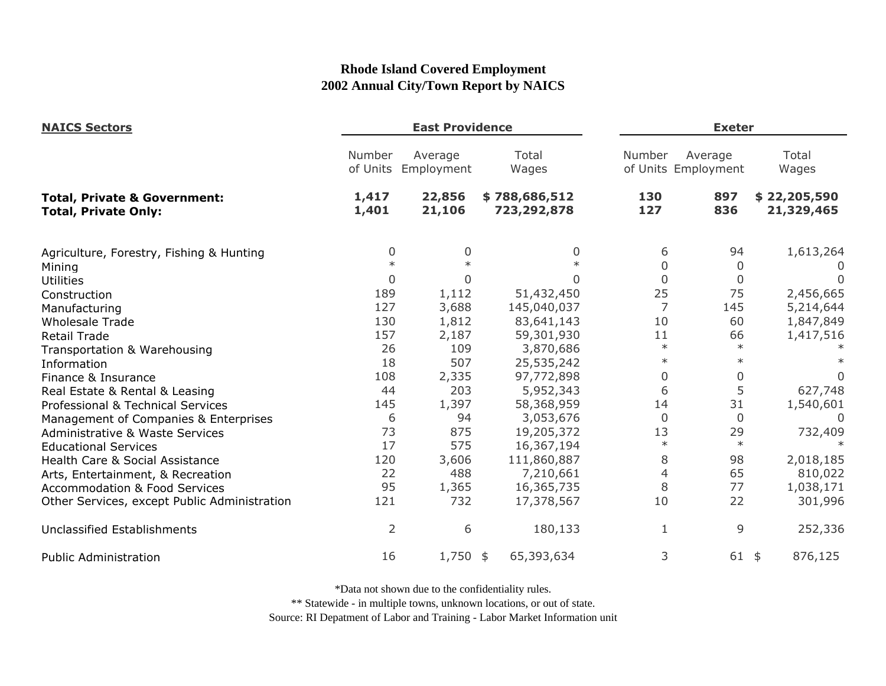| <b>NAICS Sectors</b>                                                   |                    | <b>East Providence</b> |                              |                | <b>Exeter</b>                  |                            |  |
|------------------------------------------------------------------------|--------------------|------------------------|------------------------------|----------------|--------------------------------|----------------------------|--|
|                                                                        | Number<br>of Units | Average<br>Employment  | Total<br>Wages               | Number         | Average<br>of Units Employment | Total<br>Wages             |  |
| <b>Total, Private &amp; Government:</b><br><b>Total, Private Only:</b> | 1,417<br>1,401     | 22,856<br>21,106       | \$788,686,512<br>723,292,878 | 130<br>127     | 897<br>836                     | \$22,205,590<br>21,329,465 |  |
| Agriculture, Forestry, Fishing & Hunting                               | 0                  | $\Omega$               | 0                            | 6              | 94                             | 1,613,264                  |  |
| Mining                                                                 | $\ast$             |                        |                              | $\overline{0}$ | 0                              | U                          |  |
| <b>Utilities</b>                                                       | $\mathbf 0$        | $\Omega$               | U                            | $\overline{0}$ | $\Omega$                       | $\Omega$                   |  |
| Construction                                                           | 189                | 1,112                  | 51,432,450                   | 25             | 75                             | 2,456,665                  |  |
| Manufacturing                                                          | 127                | 3,688                  | 145,040,037                  | $\overline{7}$ | 145                            | 5,214,644                  |  |
| <b>Wholesale Trade</b>                                                 | 130                | 1,812                  | 83,641,143                   | 10             | 60                             | 1,847,849                  |  |
| <b>Retail Trade</b>                                                    | 157                | 2,187                  | 59,301,930                   | 11             | 66                             | 1,417,516                  |  |
| Transportation & Warehousing                                           | 26                 | 109                    | 3,870,686                    | $\ast$         | $\ast$                         |                            |  |
| Information                                                            | 18                 | 507                    | 25,535,242                   | $\ast$         | $\ast$                         |                            |  |
| Finance & Insurance                                                    | 108                | 2,335                  | 97,772,898                   | $\mathbf 0$    | 0                              | 0                          |  |
| Real Estate & Rental & Leasing                                         | 44                 | 203                    | 5,952,343                    | 6              | 5                              | 627,748                    |  |
| Professional & Technical Services                                      | 145                | 1,397                  | 58,368,959                   | 14             | 31                             | 1,540,601                  |  |
| Management of Companies & Enterprises                                  | 6                  | 94                     | 3,053,676                    | $\Omega$       | $\overline{0}$                 | $\Omega$                   |  |
| <b>Administrative &amp; Waste Services</b>                             | 73                 | 875                    | 19,205,372                   | 13             | 29                             | 732,409                    |  |
| <b>Educational Services</b>                                            | 17                 | 575                    | 16,367,194                   | $\ast$         | $\ast$                         |                            |  |
| Health Care & Social Assistance                                        | 120                | 3,606                  | 111,860,887                  | 8              | 98                             | 2,018,185                  |  |
| Arts, Entertainment, & Recreation                                      | 22                 | 488                    | 7,210,661                    | $\overline{4}$ | 65                             | 810,022                    |  |
| <b>Accommodation &amp; Food Services</b>                               | 95                 | 1,365                  | 16,365,735                   | 8              | 77                             | 1,038,171                  |  |
| Other Services, except Public Administration                           | 121                | 732                    | 17,378,567                   | 10             | 22                             | 301,996                    |  |
| Unclassified Establishments                                            | $\overline{2}$     | 6                      | 180,133                      | 1              | 9                              | 252,336                    |  |
| <b>Public Administration</b>                                           | 16                 | $1,750$ \$             | 65,393,634                   | 3              | 61                             | 876,125<br>$\frac{4}{5}$   |  |

\*Data not shown due to the confidentiality rules.

\*\* Statewide - in multiple towns, unknown locations, or out of state.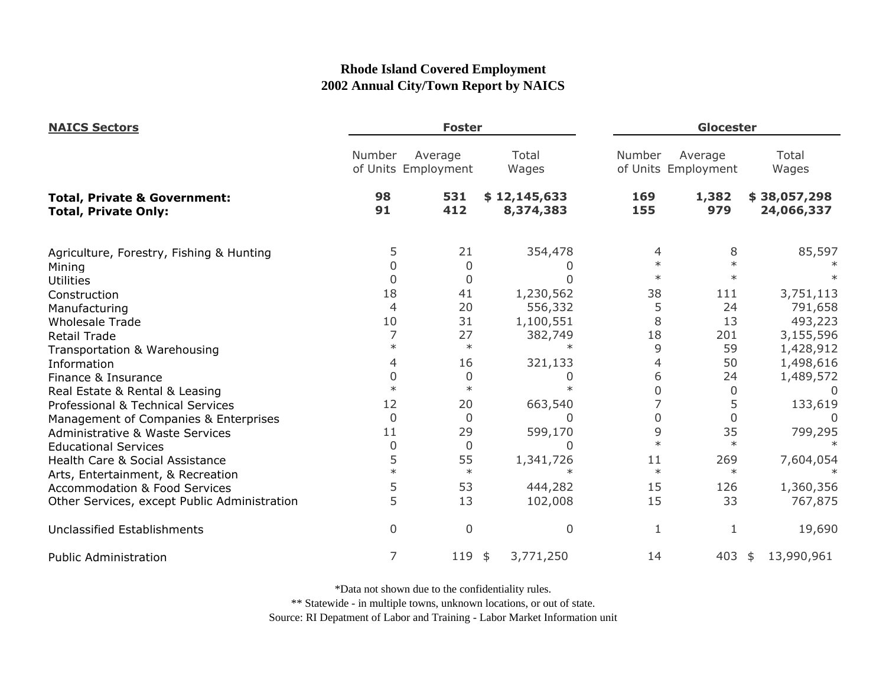| <b>NAICS Sectors</b>                                                   |                  | <b>Foster</b>                  |                           |            | Glocester                                                  |                            |  |
|------------------------------------------------------------------------|------------------|--------------------------------|---------------------------|------------|------------------------------------------------------------|----------------------------|--|
|                                                                        | Number           | Average<br>of Units Employment | Total<br>Wages            |            | Total<br>Number<br>Average<br>of Units Employment<br>Wages |                            |  |
| <b>Total, Private &amp; Government:</b><br><b>Total, Private Only:</b> | 98<br>91         | 531<br>412                     | \$12,145,633<br>8,374,383 | 169<br>155 | 1,382<br>979                                               | \$38,057,298<br>24,066,337 |  |
| Agriculture, Forestry, Fishing & Hunting                               | 5                | 21                             | 354,478                   | 4          | 8                                                          | 85,597                     |  |
| Mining                                                                 | 0                | 0                              |                           | $\ast$     | $\ast$                                                     |                            |  |
| <b>Utilities</b>                                                       | $\overline{0}$   | 0                              |                           | $\ast$     | $\ast$                                                     |                            |  |
| Construction                                                           | 18               | 41                             | 1,230,562                 | 38         | 111                                                        | 3,751,113                  |  |
| Manufacturing                                                          | 4                | 20                             | 556,332                   | 5          | 24                                                         | 791,658                    |  |
| <b>Wholesale Trade</b>                                                 | 10               | 31                             | 1,100,551                 | 8          | 13                                                         | 493,223                    |  |
| <b>Retail Trade</b>                                                    |                  | 27                             | 382,749                   | 18         | 201                                                        | 3,155,596                  |  |
| Transportation & Warehousing                                           | $\ast$           | $\ast$                         | $\ast$                    | 9          | 59                                                         | 1,428,912                  |  |
| Information                                                            | 4                | 16                             | 321,133                   | 4          | 50                                                         | 1,498,616                  |  |
| Finance & Insurance                                                    | 0                | 0                              | 0                         | 6          | 24                                                         | 1,489,572                  |  |
| Real Estate & Rental & Leasing                                         | $\ast$           | $\ast$                         | $\star$                   | O          | 0                                                          | 0                          |  |
| Professional & Technical Services                                      | 12               | 20                             | 663,540                   |            | 5                                                          | 133,619                    |  |
| Management of Companies & Enterprises                                  | $\overline{0}$   | $\Omega$                       | 0                         | 0          | $\Omega$                                                   |                            |  |
| Administrative & Waste Services                                        | 11               | 29                             | 599,170                   | 9          | 35                                                         | 799,295                    |  |
| <b>Educational Services</b>                                            | $\boldsymbol{0}$ | $\overline{0}$                 |                           | $\ast$     | $\ast$                                                     |                            |  |
| Health Care & Social Assistance                                        | 5                | 55                             | 1,341,726                 | 11         | 269                                                        | 7,604,054                  |  |
| Arts, Entertainment, & Recreation                                      | $\ast$           | $\ast$                         | $\ast$                    | $\ast$     | $\ast$                                                     |                            |  |
| <b>Accommodation &amp; Food Services</b>                               | 5                | 53                             | 444,282                   | 15         | 126                                                        | 1,360,356                  |  |
| Other Services, except Public Administration                           | 5                | 13                             | 102,008                   | 15         | 33                                                         | 767,875                    |  |
| Unclassified Establishments                                            | $\overline{0}$   | $\Omega$                       | 0                         | 1          | 1                                                          | 19,690                     |  |
| <b>Public Administration</b>                                           | 7                | 119                            | 3,771,250<br>\$           | 14         | 403                                                        | 13,990,961<br>-\$          |  |

\*Data not shown due to the confidentiality rules.

\*\* Statewide - in multiple towns, unknown locations, or out of state.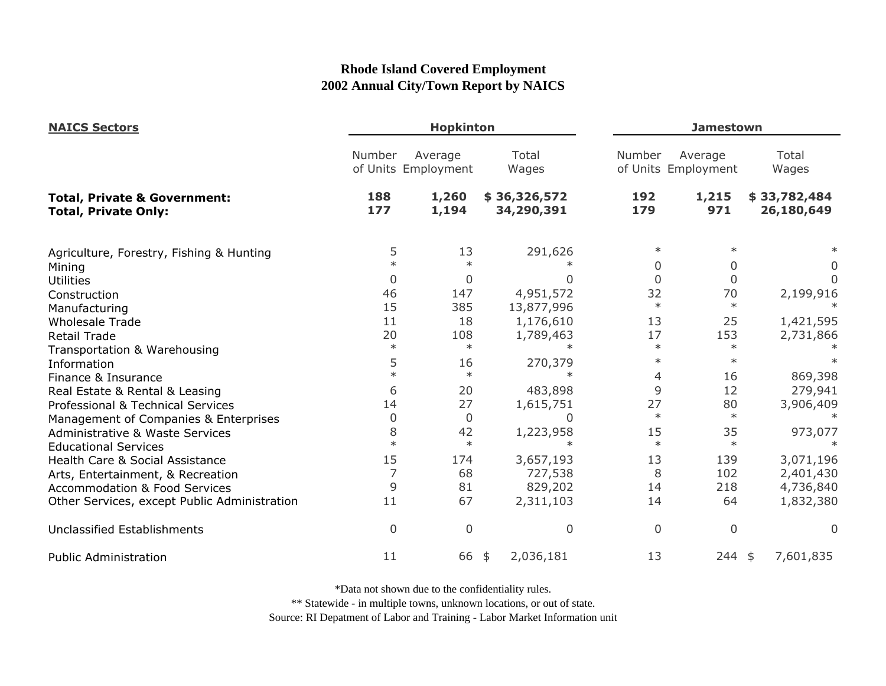| <b>NAICS Sectors</b>                                                   |                |                                | <b>Hopkinton</b><br><b>Jamestown</b> |             |                                |                            |  |
|------------------------------------------------------------------------|----------------|--------------------------------|--------------------------------------|-------------|--------------------------------|----------------------------|--|
|                                                                        | Number         | Average<br>of Units Employment | Total<br>Wages                       | Number      | Average<br>of Units Employment | Total<br>Wages             |  |
| <b>Total, Private &amp; Government:</b><br><b>Total, Private Only:</b> | 188<br>177     | 1,260<br>1,194                 | \$36,326,572<br>34,290,391           | 192<br>179  | 1,215<br>971                   | \$33,782,484<br>26,180,649 |  |
| Agriculture, Forestry, Fishing & Hunting                               | 5              | 13                             | 291,626                              | $\ast$      |                                |                            |  |
| Mining                                                                 |                |                                |                                      | $\Omega$    | 0                              | $\Omega$                   |  |
| <b>Utilities</b>                                                       | $\overline{0}$ | 0                              |                                      | $\Omega$    | $\Omega$                       |                            |  |
| Construction                                                           | 46             | 147                            | 4,951,572                            | 32          | 70                             | 2,199,916                  |  |
| Manufacturing                                                          | 15             | 385                            | 13,877,996                           | $\ast$      | $\ast$                         |                            |  |
| <b>Wholesale Trade</b>                                                 | 11             | 18                             | 1,176,610                            | 13          | 25                             | 1,421,595                  |  |
| <b>Retail Trade</b>                                                    | 20             | 108                            | 1,789,463                            | 17          | 153                            | 2,731,866                  |  |
| Transportation & Warehousing                                           | $\ast$         | $\ast$                         | $\ast$                               | $\ast$      | $\ast$                         |                            |  |
| Information                                                            | 5              | 16                             | 270,379                              | $\ast$      | $\ast$                         |                            |  |
| Finance & Insurance                                                    | $\ast$         | $\ast$                         |                                      | 4           | 16                             | 869,398                    |  |
| Real Estate & Rental & Leasing                                         | 6              | 20                             | 483,898                              | 9           | 12                             | 279,941                    |  |
| Professional & Technical Services                                      | 14             | 27                             | 1,615,751                            | 27          | 80                             | 3,906,409                  |  |
| Management of Companies & Enterprises                                  | 0              | 0                              | 0                                    | $\ast$      | $\ast$                         |                            |  |
| <b>Administrative &amp; Waste Services</b>                             | 8              | 42                             | 1,223,958                            | 15          | 35                             | 973,077                    |  |
| <b>Educational Services</b>                                            | $\ast$         | $\ast$                         | $\star$                              | $\ast$      | $\ast$                         |                            |  |
| Health Care & Social Assistance                                        | 15             | 174                            | 3,657,193                            | 13          | 139                            | 3,071,196                  |  |
| Arts, Entertainment, & Recreation                                      | 7              | 68                             | 727,538                              | 8           | 102                            | 2,401,430                  |  |
| <b>Accommodation &amp; Food Services</b>                               | 9              | 81                             | 829,202                              | 14          | 218                            | 4,736,840                  |  |
| Other Services, except Public Administration                           | 11             | 67                             | 2,311,103                            | 14          | 64                             | 1,832,380                  |  |
| <b>Unclassified Establishments</b>                                     | $\mathbf 0$    | $\overline{0}$                 | $\overline{0}$                       | $\mathbf 0$ | $\mathbf 0$                    | $\mathbf{0}$               |  |
| <b>Public Administration</b>                                           | 11             | 66                             | 2,036,181<br>$\frac{4}{5}$           | 13          | $244$ \$                       | 7,601,835                  |  |

\*Data not shown due to the confidentiality rules.

\*\* Statewide - in multiple towns, unknown locations, or out of state.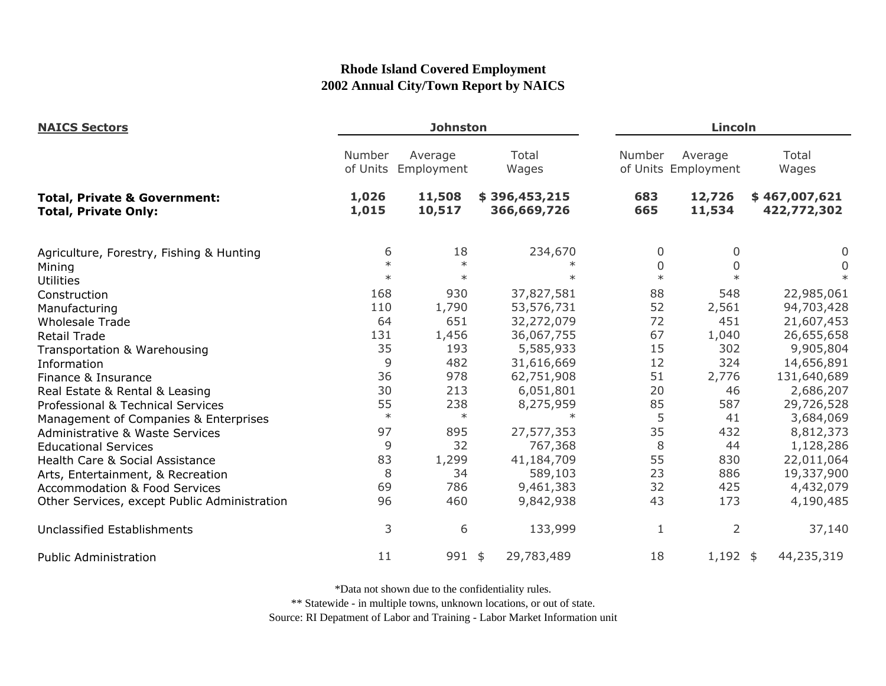| <b>NAICS Sectors</b>                                                   |                    | <b>Johnston</b>       |                              |             | Lincoln                        |                              |  |
|------------------------------------------------------------------------|--------------------|-----------------------|------------------------------|-------------|--------------------------------|------------------------------|--|
|                                                                        | Number<br>of Units | Average<br>Employment | Total<br>Wages               | Number      | Average<br>of Units Employment | Total<br>Wages               |  |
| <b>Total, Private &amp; Government:</b><br><b>Total, Private Only:</b> | 1,026<br>1,015     | 11,508<br>10,517      | \$396,453,215<br>366,669,726 | 683<br>665  | 12,726<br>11,534               | \$467,007,621<br>422,772,302 |  |
| Agriculture, Forestry, Fishing & Hunting                               | 6                  | 18                    | 234,670                      | 0           | 0                              | 0                            |  |
| Mining                                                                 | $\ast$             | $\ast$                | $\ast$                       | 0<br>$\ast$ | $\mathbf 0$                    | 0                            |  |
| <b>Utilities</b>                                                       | $\ast$             | $\ast$                | $\ast$                       |             | $\ast$                         | $\ast$                       |  |
| Construction                                                           | 168                | 930                   | 37,827,581                   | 88          | 548                            | 22,985,061                   |  |
| Manufacturing                                                          | 110                | 1,790                 | 53,576,731                   | 52          | 2,561                          | 94,703,428                   |  |
| <b>Wholesale Trade</b>                                                 | 64                 | 651                   | 32,272,079                   | 72          | 451                            | 21,607,453                   |  |
| <b>Retail Trade</b>                                                    | 131                | 1,456                 | 36,067,755                   | 67          | 1,040                          | 26,655,658                   |  |
| Transportation & Warehousing                                           | 35                 | 193                   | 5,585,933                    | 15          | 302                            | 9,905,804                    |  |
| Information                                                            | 9                  | 482                   | 31,616,669                   | 12          | 324                            | 14,656,891                   |  |
| Finance & Insurance                                                    | 36                 | 978                   | 62,751,908                   | 51          | 2,776                          | 131,640,689                  |  |
| Real Estate & Rental & Leasing                                         | 30                 | 213                   | 6,051,801                    | 20          | 46                             | 2,686,207                    |  |
| Professional & Technical Services                                      | 55                 | 238                   | 8,275,959                    | 85          | 587                            | 29,726,528                   |  |
| Management of Companies & Enterprises                                  | $\ast$             | $\ast$                | $\ast$                       | 5           | 41                             | 3,684,069                    |  |
| <b>Administrative &amp; Waste Services</b>                             | 97                 | 895                   | 27,577,353                   | 35          | 432                            | 8,812,373                    |  |
| <b>Educational Services</b>                                            | 9                  | 32                    | 767,368                      | 8           | 44                             | 1,128,286                    |  |
| Health Care & Social Assistance                                        | 83                 | 1,299                 | 41,184,709                   | 55          | 830                            | 22,011,064                   |  |
| Arts, Entertainment, & Recreation                                      | 8                  | 34                    | 589,103                      | 23          | 886                            | 19,337,900                   |  |
| <b>Accommodation &amp; Food Services</b>                               | 69                 | 786                   | 9,461,383                    | 32          | 425                            | 4,432,079                    |  |
| Other Services, except Public Administration                           | 96                 | 460                   | 9,842,938                    | 43          | 173                            | 4,190,485                    |  |
| <b>Unclassified Establishments</b>                                     | 3                  | 6                     | 133,999                      |             | $\overline{2}$                 | 37,140                       |  |
| <b>Public Administration</b>                                           | 11                 | 991 \$                | 29,783,489                   | 18          | $1,192$ \$                     | 44,235,319                   |  |

\*Data not shown due to the confidentiality rules.

\*\* Statewide - in multiple towns, unknown locations, or out of state.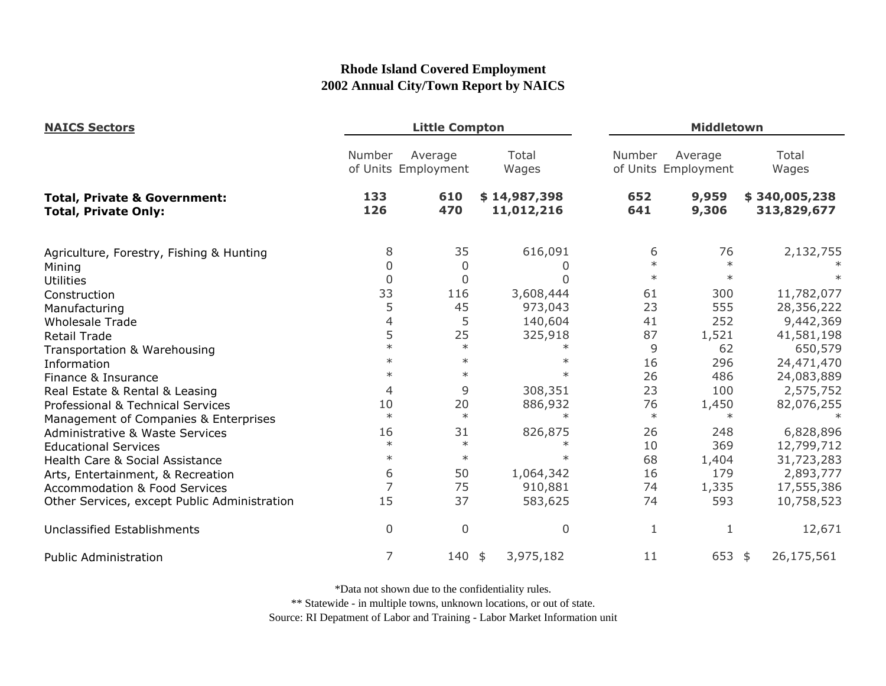| <b>NAICS Sectors</b>                                                   |                | <b>Little Compton</b>          |                            | <b>Middletown</b> |                                |                              |
|------------------------------------------------------------------------|----------------|--------------------------------|----------------------------|-------------------|--------------------------------|------------------------------|
|                                                                        | Number         | Average<br>of Units Employment | Total<br>Wages             | Number            | Average<br>of Units Employment | Total<br>Wages               |
| <b>Total, Private &amp; Government:</b><br><b>Total, Private Only:</b> | 133<br>126     | 610<br>470                     | \$14,987,398<br>11,012,216 | 652<br>641        | 9,959<br>9,306                 | \$340,005,238<br>313,829,677 |
| Agriculture, Forestry, Fishing & Hunting                               | 8              | 35                             | 616,091                    | 6                 | 76                             | 2,132,755                    |
| Mining                                                                 | $\mathbf 0$    | $\mathbf 0$                    |                            | $\ast$            | $\ast$                         |                              |
| <b>Utilities</b>                                                       | $\overline{0}$ | $\overline{0}$                 | O                          | $\ast$            | $\ast$                         |                              |
| Construction                                                           | 33             | 116                            | 3,608,444                  | 61                | 300                            | 11,782,077                   |
| Manufacturing                                                          | 5              | 45                             | 973,043                    | 23                | 555                            | 28,356,222                   |
| <b>Wholesale Trade</b>                                                 | $\overline{4}$ | 5                              | 140,604                    | 41                | 252                            | 9,442,369                    |
| <b>Retail Trade</b>                                                    | 5              | 25                             | 325,918                    | 87                | 1,521                          | 41,581,198                   |
| Transportation & Warehousing                                           | $\ast$         | $\ast$                         | $\ast$                     | 9                 | 62                             | 650,579                      |
| Information                                                            | $\ast$         | $\ast$                         | $\ast$                     | 16                | 296                            | 24,471,470                   |
| Finance & Insurance                                                    | $\ast$         | $\ast$                         | $\ast$                     | 26                | 486                            | 24,083,889                   |
| Real Estate & Rental & Leasing                                         | 4              | 9                              | 308,351                    | 23                | 100                            | 2,575,752                    |
| Professional & Technical Services                                      | 10             | 20                             | 886,932                    | 76                | 1,450                          | 82,076,255                   |
| Management of Companies & Enterprises                                  | $\ast$         | $\ast$                         | $\ast$                     | $\ast$            | $\ast$                         |                              |
| <b>Administrative &amp; Waste Services</b>                             | 16             | 31                             | 826,875                    | 26                | 248                            | 6,828,896                    |
| <b>Educational Services</b>                                            | $\ast$         | $\ast$                         | $\ast$                     | 10                | 369                            | 12,799,712                   |
| Health Care & Social Assistance                                        | $\ast$         | $\ast$                         |                            | 68                | 1,404                          | 31,723,283                   |
| Arts, Entertainment, & Recreation                                      | 6              | 50                             | 1,064,342                  | 16                | 179                            | 2,893,777                    |
| <b>Accommodation &amp; Food Services</b>                               | $\overline{7}$ | 75                             | 910,881                    | 74                | 1,335                          | 17,555,386                   |
| Other Services, except Public Administration                           | 15             | 37                             | 583,625                    | 74                | 593                            | 10,758,523                   |
| <b>Unclassified Establishments</b>                                     | $\mathbf 0$    | $\mathbf 0$                    | $\Omega$                   | 1                 |                                | 12,671                       |
| <b>Public Administration</b>                                           | 7              | $140$ \$                       | 3,975,182                  | 11                | 653 \$                         | 26,175,561                   |

\*Data not shown due to the confidentiality rules.

\*\* Statewide - in multiple towns, unknown locations, or out of state.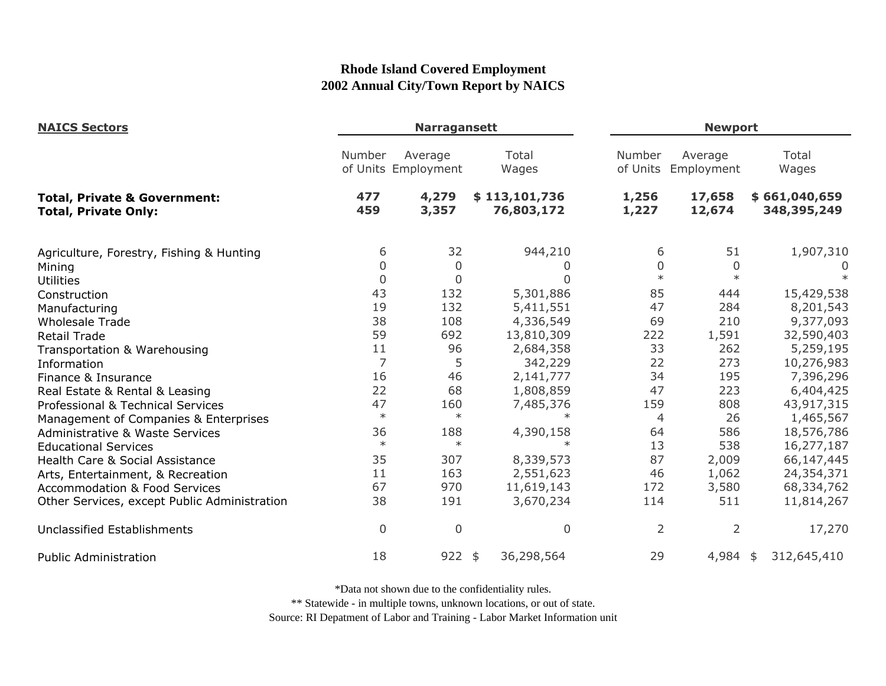| <b>NAICS Sectors</b>                                                   |                | <b>Narragansett</b>            |                             |                |                                | <b>Newport</b>               |  |
|------------------------------------------------------------------------|----------------|--------------------------------|-----------------------------|----------------|--------------------------------|------------------------------|--|
|                                                                        | Number         | Average<br>of Units Employment | Total<br>Wages              | Number         | Average<br>of Units Employment | Total<br>Wages               |  |
| <b>Total, Private &amp; Government:</b><br><b>Total, Private Only:</b> | 477<br>459     | 4,279<br>3,357                 | \$113,101,736<br>76,803,172 | 1,256<br>1,227 | 17,658<br>12,674               | \$661,040,659<br>348,395,249 |  |
| Agriculture, Forestry, Fishing & Hunting                               | 6              | 32                             | 944,210                     | 6              | 51                             | 1,907,310                    |  |
| Mining                                                                 | 0              | 0                              | O                           | 0              | 0                              | $\Omega$                     |  |
| <b>Utilities</b>                                                       | $\Omega$       | 0                              | <sup>0</sup>                | $\ast$         | $\ast$                         |                              |  |
| Construction                                                           | 43             | 132                            | 5,301,886                   | 85             | 444                            | 15,429,538                   |  |
| Manufacturing                                                          | 19             | 132                            | 5,411,551                   | 47             | 284                            | 8,201,543                    |  |
| <b>Wholesale Trade</b>                                                 | 38             | 108                            | 4,336,549                   | 69             | 210                            | 9,377,093                    |  |
| <b>Retail Trade</b>                                                    | 59             | 692                            | 13,810,309                  | 222            | 1,591                          | 32,590,403                   |  |
| Transportation & Warehousing                                           | 11             | 96                             | 2,684,358                   | 33             | 262                            | 5,259,195                    |  |
| Information                                                            | $\overline{7}$ | 5                              | 342,229                     | 22             | 273                            | 10,276,983                   |  |
| Finance & Insurance                                                    | 16             | 46                             | 2,141,777                   | 34             | 195                            | 7,396,296                    |  |
| Real Estate & Rental & Leasing                                         | 22             | 68                             | 1,808,859                   | 47             | 223                            | 6,404,425                    |  |
| Professional & Technical Services                                      | 47             | 160                            | 7,485,376                   | 159            | 808                            | 43,917,315                   |  |
| Management of Companies & Enterprises                                  | $\ast$         | $\ast$                         | $\ast$                      | 4              | 26                             | 1,465,567                    |  |
| <b>Administrative &amp; Waste Services</b>                             | 36             | 188                            | 4,390,158                   | 64             | 586                            | 18,576,786                   |  |
| <b>Educational Services</b>                                            | $\ast$         | $\ast$                         | $\ast$                      | 13             | 538                            | 16,277,187                   |  |
| Health Care & Social Assistance                                        | 35             | 307                            | 8,339,573                   | 87             | 2,009                          | 66,147,445                   |  |
| Arts, Entertainment, & Recreation                                      | 11             | 163                            | 2,551,623                   | 46             | 1,062                          | 24,354,371                   |  |
| <b>Accommodation &amp; Food Services</b>                               | 67             | 970                            | 11,619,143                  | 172            | 3,580                          | 68,334,762                   |  |
| Other Services, except Public Administration                           | 38             | 191                            | 3,670,234                   | 114            | 511                            | 11,814,267                   |  |
| Unclassified Establishments                                            | $\mathbf 0$    | $\overline{0}$                 | $\mathbf 0$                 | $\overline{2}$ | $\overline{2}$                 | 17,270                       |  |
| <b>Public Administration</b>                                           | 18             | 922                            | 36,298,564<br>\$            | 29             | $4,984$ \$                     | 312,645,410                  |  |

\*Data not shown due to the confidentiality rules.

\*\* Statewide - in multiple towns, unknown locations, or out of state.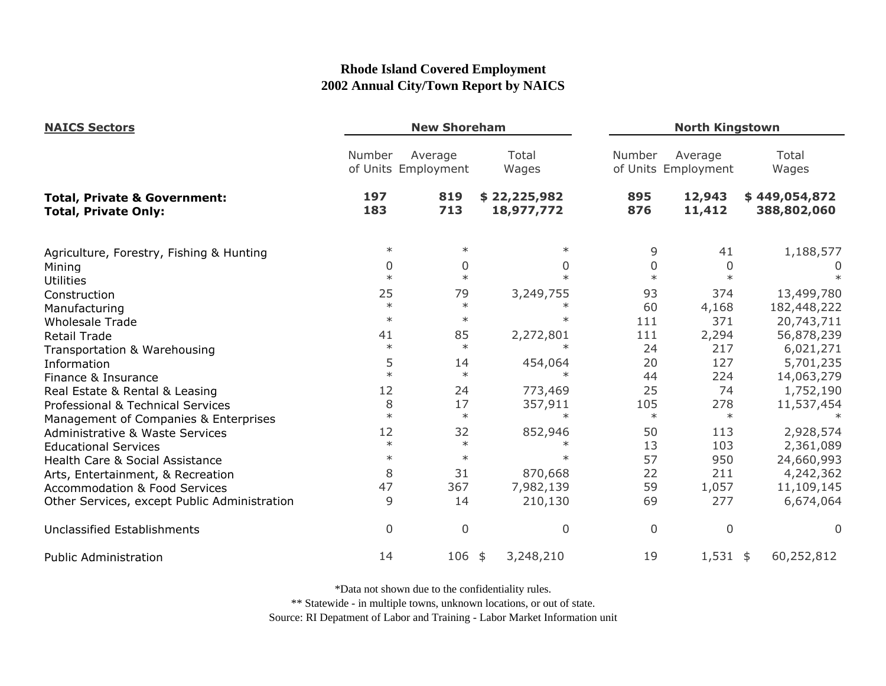| <b>NAICS Sectors</b><br><b>Total, Private &amp; Government:</b><br><b>Total, Private Only:</b> | <b>New Shoreham</b> |                                |                            |             | <b>North Kingstown</b>         |                              |  |
|------------------------------------------------------------------------------------------------|---------------------|--------------------------------|----------------------------|-------------|--------------------------------|------------------------------|--|
|                                                                                                | Number              | Average<br>of Units Employment | Total<br>Wages             | Number      | Average<br>of Units Employment | Total<br>Wages               |  |
|                                                                                                | 197<br>183          | 819<br>713                     | \$22,225,982<br>18,977,772 | 895<br>876  | 12,943<br>11,412               | \$449,054,872<br>388,802,060 |  |
| Agriculture, Forestry, Fishing & Hunting                                                       | $\ast$              | $\ast$                         | $\ast$                     | 9           | 41                             | 1,188,577                    |  |
| Mining                                                                                         | $\Omega$            | 0                              | $\Omega$                   | 0           | $\Omega$                       | O                            |  |
| <b>Utilities</b>                                                                               | $\ast$              | $\ast$                         | $\ast$                     | $\ast$      | $\ast$                         |                              |  |
| Construction                                                                                   | 25                  | 79                             | 3,249,755                  | 93          | 374                            | 13,499,780                   |  |
| Manufacturing                                                                                  | $\ast$              | $\ast$                         |                            | 60          | 4,168                          | 182,448,222                  |  |
| <b>Wholesale Trade</b>                                                                         | $\ast$              | $\ast$                         | $\ast$                     | 111         | 371                            | 20,743,711                   |  |
| <b>Retail Trade</b>                                                                            | 41                  | 85                             | 2,272,801                  | 111         | 2,294                          | 56,878,239                   |  |
| Transportation & Warehousing                                                                   | $\ast$              | $\ast$                         | $\ast$                     | 24          | 217                            | 6,021,271                    |  |
| Information                                                                                    | 5                   | 14                             | 454,064                    | 20          | 127                            | 5,701,235                    |  |
| Finance & Insurance                                                                            | $\ast$              | $\ast$                         | $\ast$                     | 44          | 224                            | 14,063,279                   |  |
| Real Estate & Rental & Leasing                                                                 | 12                  | 24                             | 773,469                    | 25          | 74                             | 1,752,190                    |  |
| Professional & Technical Services                                                              | 8                   | 17                             | 357,911                    | 105         | 278                            | 11,537,454                   |  |
| Management of Companies & Enterprises                                                          | $\ast$              | $\ast$                         | $\ast$                     | $\ast$      | $\ast$                         | $\ast$                       |  |
| <b>Administrative &amp; Waste Services</b>                                                     | 12                  | 32                             | 852,946                    | 50          | 113                            | 2,928,574                    |  |
| <b>Educational Services</b>                                                                    | $\ast$              | $\ast$                         |                            | 13          | 103                            | 2,361,089                    |  |
| Health Care & Social Assistance                                                                | $\ast$              | $\ast$                         | $\ast$                     | 57          | 950                            | 24,660,993                   |  |
| Arts, Entertainment, & Recreation                                                              | 8                   | 31                             | 870,668                    | 22          | 211                            | 4,242,362                    |  |
| <b>Accommodation &amp; Food Services</b>                                                       | 47                  | 367                            | 7,982,139                  | 59          | 1,057                          | 11,109,145                   |  |
| Other Services, except Public Administration                                                   | 9                   | 14                             | 210,130                    | 69          | 277                            | 6,674,064                    |  |
| <b>Unclassified Establishments</b>                                                             | $\overline{0}$      | $\mathbf 0$                    | $\overline{0}$             | $\mathbf 0$ | 0                              | 0                            |  |
| <b>Public Administration</b>                                                                   | 14                  | 106 \$                         | 3,248,210                  | 19          | $1,531$ \$                     | 60,252,812                   |  |

\*Data not shown due to the confidentiality rules.

\*\* Statewide - in multiple towns, unknown locations, or out of state.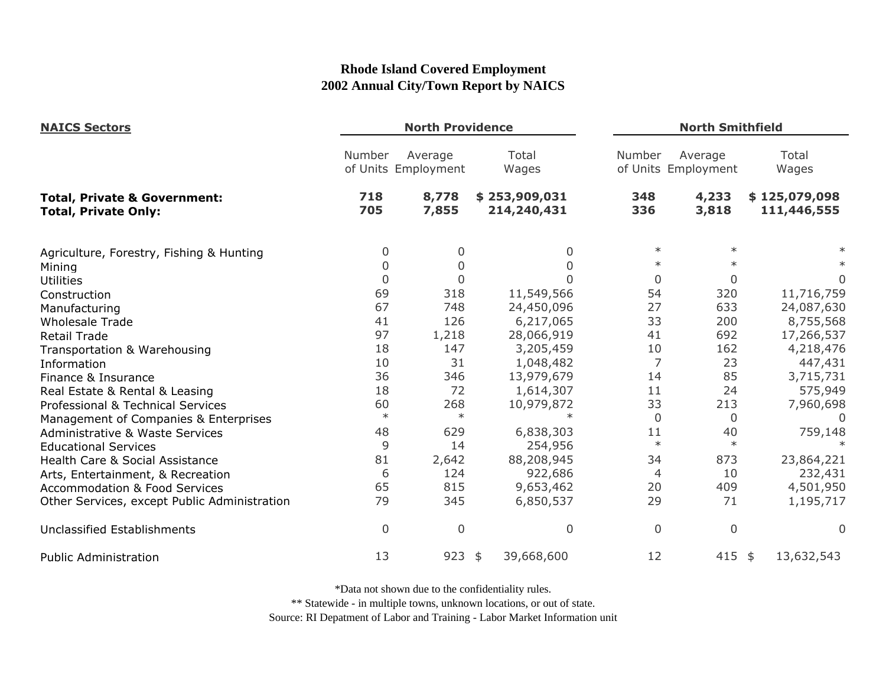| <b>NAICS Sectors</b><br><b>Total, Private &amp; Government:</b><br><b>Total, Private Only:</b> | <b>North Providence</b> |                                |                              |              | <b>North Smithfield</b>        |                              |  |
|------------------------------------------------------------------------------------------------|-------------------------|--------------------------------|------------------------------|--------------|--------------------------------|------------------------------|--|
|                                                                                                | Number                  | Average<br>of Units Employment | Total<br>Wages               | Number       | Average<br>of Units Employment | Total<br>Wages               |  |
|                                                                                                | 718<br>705              | 8,778<br>7,855                 | \$253,909,031<br>214,240,431 | 348<br>336   | 4,233<br>3,818                 | \$125,079,098<br>111,446,555 |  |
| Agriculture, Forestry, Fishing & Hunting                                                       | 0                       | 0                              | 0                            | $\ast$       | $\ast$                         |                              |  |
| Mining                                                                                         | 0                       | $\Omega$                       |                              | $\ast$       | $\ast$                         |                              |  |
| <b>Utilities</b>                                                                               | $\mathbf{0}$            | 0                              |                              | 0            | 0                              | 0                            |  |
| Construction                                                                                   | 69                      | 318                            | 11,549,566                   | 54           | 320                            | 11,716,759                   |  |
| Manufacturing                                                                                  | 67                      | 748                            | 24,450,096                   | 27           | 633                            | 24,087,630                   |  |
| <b>Wholesale Trade</b>                                                                         | 41                      | 126                            | 6,217,065                    | 33           | 200                            | 8,755,568                    |  |
| <b>Retail Trade</b>                                                                            | 97                      | 1,218                          | 28,066,919                   | 41           | 692                            | 17,266,537                   |  |
| Transportation & Warehousing                                                                   | 18                      | 147                            | 3,205,459                    | 10           | 162                            | 4,218,476                    |  |
| Information                                                                                    | 10                      | 31                             | 1,048,482                    | 7            | 23                             | 447,431                      |  |
| Finance & Insurance                                                                            | 36                      | 346                            | 13,979,679                   | 14           | 85                             | 3,715,731                    |  |
| Real Estate & Rental & Leasing                                                                 | 18                      | 72                             | 1,614,307                    | 11           | 24                             | 575,949                      |  |
| Professional & Technical Services                                                              | 60                      | 268                            | 10,979,872                   | 33           | 213                            | 7,960,698                    |  |
| Management of Companies & Enterprises                                                          | $\ast$                  | $\ast$                         | $\ast$                       | $\mathbf{0}$ | 0                              | $\Omega$                     |  |
| <b>Administrative &amp; Waste Services</b>                                                     | 48                      | 629                            | 6,838,303                    | 11           | 40                             | 759,148                      |  |
| <b>Educational Services</b>                                                                    | 9                       | 14                             | 254,956                      | $\ast$       | $\ast$                         |                              |  |
| Health Care & Social Assistance                                                                | 81                      | 2,642                          | 88,208,945                   | 34           | 873                            | 23,864,221                   |  |
| Arts, Entertainment, & Recreation                                                              | 6                       | 124                            | 922,686                      | 4            | 10                             | 232,431                      |  |
| <b>Accommodation &amp; Food Services</b>                                                       | 65                      | 815                            | 9,653,462                    | 20           | 409                            | 4,501,950                    |  |
| Other Services, except Public Administration                                                   | 79                      | 345                            | 6,850,537                    | 29           | 71                             | 1,195,717                    |  |
| Unclassified Establishments                                                                    | $\overline{0}$          | $\overline{0}$                 | 0                            | 0            | 0                              | 0                            |  |
| <b>Public Administration</b>                                                                   | 13                      | 923                            | 39,668,600<br>\$             | 12           | 415 \$                         | 13,632,543                   |  |

\*Data not shown due to the confidentiality rules.

\*\* Statewide - in multiple towns, unknown locations, or out of state.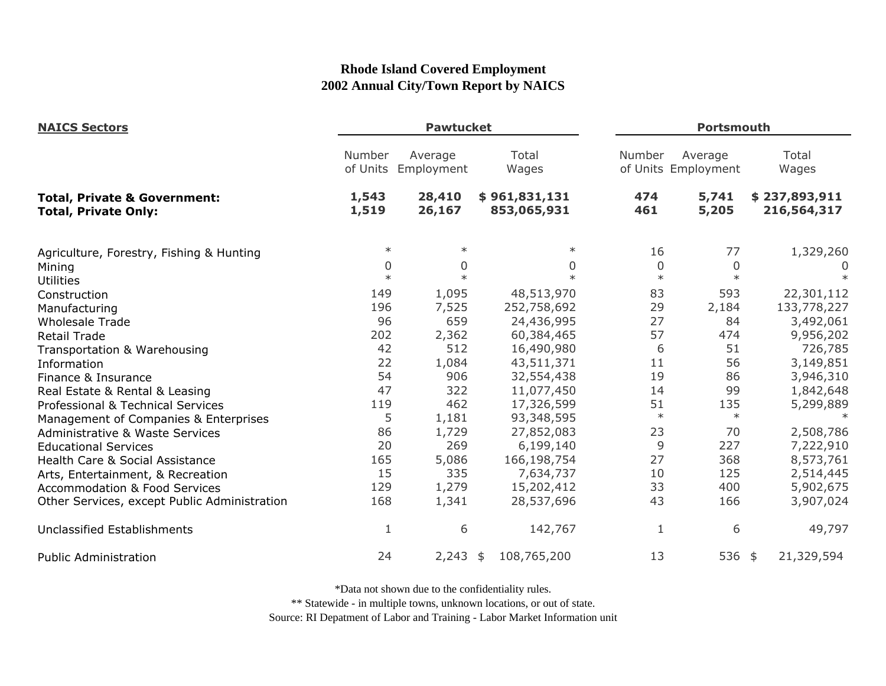| <b>NAICS Sectors</b>                                                   | <b>Pawtucket</b>   |                       |                              |              | <b>Portsmouth</b>              |                              |  |
|------------------------------------------------------------------------|--------------------|-----------------------|------------------------------|--------------|--------------------------------|------------------------------|--|
|                                                                        | Number<br>of Units | Average<br>Employment | Total<br>Wages               | Number       | Average<br>of Units Employment | Total<br>Wages               |  |
| <b>Total, Private &amp; Government:</b><br><b>Total, Private Only:</b> | 1,543<br>1,519     | 28,410<br>26,167      | \$961,831,131<br>853,065,931 | 474<br>461   | 5,741<br>5,205                 | \$237,893,911<br>216,564,317 |  |
| Agriculture, Forestry, Fishing & Hunting                               | $\ast$             | $\ast$                | $\ast$                       | 16           | 77                             | 1,329,260                    |  |
| Mining                                                                 | $\mathbf 0$        | $\mathbf{0}$          | 0                            | $\mathbf 0$  | 0                              | 0                            |  |
| <b>Utilities</b>                                                       | $\ast$             | $\ast$                | $\ast$                       | $\ast$       | $\ast$                         |                              |  |
| Construction                                                           | 149                | 1,095                 | 48,513,970                   | 83           | 593                            | 22,301,112                   |  |
| Manufacturing                                                          | 196                | 7,525                 | 252,758,692                  | 29           | 2,184                          | 133,778,227                  |  |
| <b>Wholesale Trade</b>                                                 | 96                 | 659                   | 24,436,995                   | 27           | 84                             | 3,492,061                    |  |
| <b>Retail Trade</b>                                                    | 202                | 2,362                 | 60,384,465                   | 57           | 474                            | 9,956,202                    |  |
| Transportation & Warehousing                                           | 42                 | 512                   | 16,490,980                   | 6            | 51                             | 726,785                      |  |
| Information                                                            | 22                 | 1,084                 | 43,511,371                   | 11           | 56                             | 3,149,851                    |  |
| Finance & Insurance                                                    | 54                 | 906                   | 32,554,438                   | 19           | 86                             | 3,946,310                    |  |
| Real Estate & Rental & Leasing                                         | 47                 | 322                   | 11,077,450                   | 14           | 99                             | 1,842,648                    |  |
| Professional & Technical Services                                      | 119                | 462                   | 17,326,599                   | 51           | 135                            | 5,299,889                    |  |
| Management of Companies & Enterprises                                  | 5                  | 1,181                 | 93,348,595                   | $\ast$       | $\ast$                         |                              |  |
| Administrative & Waste Services                                        | 86                 | 1,729                 | 27,852,083                   | 23           | 70                             | 2,508,786                    |  |
| <b>Educational Services</b>                                            | 20                 | 269                   | 6,199,140                    | 9            | 227                            | 7,222,910                    |  |
| Health Care & Social Assistance                                        | 165                | 5,086                 | 166,198,754                  | 27           | 368                            | 8,573,761                    |  |
| Arts, Entertainment, & Recreation                                      | 15                 | 335                   | 7,634,737                    | 10           | 125                            | 2,514,445                    |  |
| <b>Accommodation &amp; Food Services</b>                               | 129                | 1,279                 | 15,202,412                   | 33           | 400                            | 5,902,675                    |  |
| Other Services, except Public Administration                           | 168                | 1,341                 | 28,537,696                   | 43           | 166                            | 3,907,024                    |  |
| Unclassified Establishments                                            | $\mathbf{1}$       | 6                     | 142,767                      | $\mathbf{1}$ | 6                              | 49,797                       |  |
| <b>Public Administration</b>                                           | 24                 | 2,243                 | 108,765,200<br>\$            | 13           | 536 \$                         | 21,329,594                   |  |

\*Data not shown due to the confidentiality rules.

\*\* Statewide - in multiple towns, unknown locations, or out of state.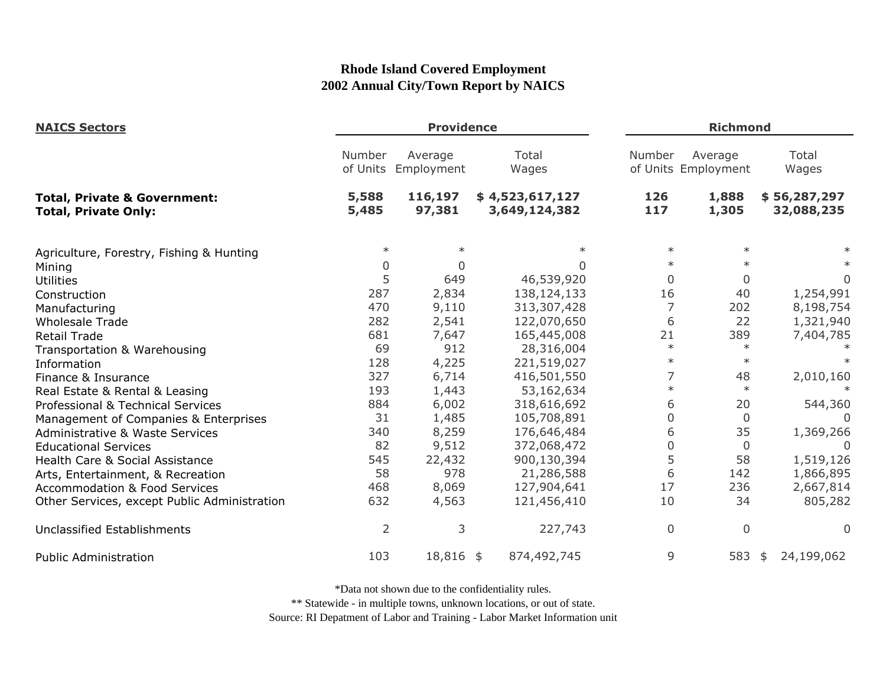| <b>NAICS Sectors</b>                                                   | <b>Providence</b>  |                       |                                  |                | <b>Richmond</b>                |                            |  |
|------------------------------------------------------------------------|--------------------|-----------------------|----------------------------------|----------------|--------------------------------|----------------------------|--|
|                                                                        | Number<br>of Units | Average<br>Employment | Total<br>Wages                   | Number         | Average<br>of Units Employment | Total<br>Wages             |  |
| <b>Total, Private &amp; Government:</b><br><b>Total, Private Only:</b> | 5,588<br>5,485     | 116,197<br>97,381     | \$4,523,617,127<br>3,649,124,382 | 126<br>117     | 1,888<br>1,305                 | \$56,287,297<br>32,088,235 |  |
| Agriculture, Forestry, Fishing & Hunting                               | $\ast$             | $\ast$                |                                  | $\ast$         | $\ast$                         |                            |  |
| Mining                                                                 | 0                  | $\Omega$              | <sup>n</sup>                     | $\ast$         | $\ast$                         |                            |  |
| <b>Utilities</b>                                                       | 5                  | 649                   | 46,539,920                       | $\overline{0}$ | 0                              | $\Omega$                   |  |
| Construction                                                           | 287                | 2,834                 | 138,124,133                      | 16             | 40                             | 1,254,991                  |  |
| Manufacturing                                                          | 470                | 9,110                 | 313,307,428                      | 7              | 202                            | 8,198,754                  |  |
| <b>Wholesale Trade</b>                                                 | 282                | 2,541                 | 122,070,650                      | 6              | 22                             | 1,321,940                  |  |
| <b>Retail Trade</b>                                                    | 681                | 7,647                 | 165,445,008                      | 21             | 389                            | 7,404,785                  |  |
| Transportation & Warehousing                                           | 69                 | 912                   | 28,316,004                       | $\ast$         | $\ast$                         |                            |  |
| Information                                                            | 128                | 4,225                 | 221,519,027                      | $\ast$         | $\ast$                         |                            |  |
| Finance & Insurance                                                    | 327                | 6,714                 | 416,501,550                      | 7              | 48                             | 2,010,160                  |  |
| Real Estate & Rental & Leasing                                         | 193                | 1,443                 | 53,162,634                       | $\ast$         | $\ast$                         |                            |  |
| Professional & Technical Services                                      | 884                | 6,002                 | 318,616,692                      | 6              | 20                             | 544,360                    |  |
| Management of Companies & Enterprises                                  | 31                 | 1,485                 | 105,708,891                      | 0              | $\Omega$                       | $\Omega$                   |  |
| Administrative & Waste Services                                        | 340                | 8,259                 | 176,646,484                      | 6              | 35                             | 1,369,266                  |  |
| <b>Educational Services</b>                                            | 82                 | 9,512                 | 372,068,472                      | 0              | $\overline{0}$                 |                            |  |
| Health Care & Social Assistance                                        | 545                | 22,432                | 900,130,394                      | 5              | 58                             | 1,519,126                  |  |
| Arts, Entertainment, & Recreation                                      | 58                 | 978                   | 21,286,588                       | 6              | 142                            | 1,866,895                  |  |
| <b>Accommodation &amp; Food Services</b>                               | 468                | 8,069                 | 127,904,641                      | 17             | 236                            | 2,667,814                  |  |
| Other Services, except Public Administration                           | 632                | 4,563                 | 121,456,410                      | 10             | 34                             | 805,282                    |  |
| <b>Unclassified Establishments</b>                                     | $\overline{2}$     | 3                     | 227,743                          | 0              | $\Omega$                       | $\Omega$                   |  |
| <b>Public Administration</b>                                           | 103                | 18,816 \$             | 874,492,745                      | 9              | 583                            | 24,199,062<br>\$           |  |

\*Data not shown due to the confidentiality rules.

\*\* Statewide - in multiple towns, unknown locations, or out of state.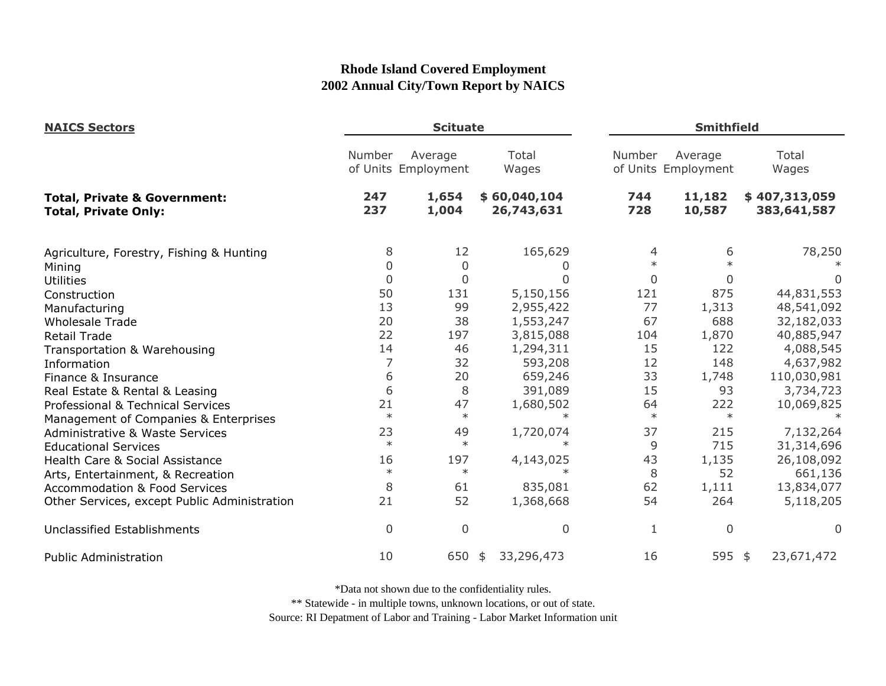| <b>NAICS Sectors</b>                                                   | <b>Scituate</b> |                                |                            |              | <b>Smithfield</b>              |                              |  |
|------------------------------------------------------------------------|-----------------|--------------------------------|----------------------------|--------------|--------------------------------|------------------------------|--|
|                                                                        | Number          | Average<br>of Units Employment | Total<br>Wages             | Number       | Average<br>of Units Employment | Total<br>Wages               |  |
| <b>Total, Private &amp; Government:</b><br><b>Total, Private Only:</b> | 247<br>237      | 1,654<br>1,004                 | \$60,040,104<br>26,743,631 | 744<br>728   | 11,182<br>10,587               | \$407,313,059<br>383,641,587 |  |
| Agriculture, Forestry, Fishing & Hunting                               | 8               | 12                             | 165,629                    | 4            | 6                              | 78,250                       |  |
| Mining                                                                 | $\overline{0}$  | 0                              |                            | $\ast$       | $\ast$                         |                              |  |
| <b>Utilities</b>                                                       | $\mathbf 0$     | $\mathbf 0$                    |                            | $\mathbf{0}$ | $\mathbf{0}$                   |                              |  |
| Construction                                                           | 50              | 131                            | 5,150,156                  | 121          | 875                            | 44,831,553                   |  |
| Manufacturing                                                          | 13              | 99                             | 2,955,422                  | 77           | 1,313                          | 48,541,092                   |  |
| <b>Wholesale Trade</b>                                                 | 20              | 38                             | 1,553,247                  | 67           | 688                            | 32,182,033                   |  |
| <b>Retail Trade</b>                                                    | 22              | 197                            | 3,815,088                  | 104          | 1,870                          | 40,885,947                   |  |
| Transportation & Warehousing                                           | 14              | 46                             | 1,294,311                  | 15           | 122                            | 4,088,545                    |  |
| Information                                                            | 7               | 32                             | 593,208                    | 12           | 148                            | 4,637,982                    |  |
| Finance & Insurance                                                    | 6               | 20                             | 659,246                    | 33           | 1,748                          | 110,030,981                  |  |
| Real Estate & Rental & Leasing                                         | 6               | 8                              | 391,089                    | 15           | 93                             | 3,734,723                    |  |
| Professional & Technical Services                                      | 21              | 47                             | 1,680,502                  | 64           | 222                            | 10,069,825                   |  |
| Management of Companies & Enterprises                                  | $\ast$          | $\ast$                         | $\ast$                     | $\ast$       | $\ast$                         |                              |  |
| Administrative & Waste Services                                        | 23              | 49                             | 1,720,074                  | 37           | 215                            | 7,132,264                    |  |
| <b>Educational Services</b>                                            | $\ast$          | $\ast$                         | $\ast$                     | 9            | 715                            | 31,314,696                   |  |
| Health Care & Social Assistance                                        | 16              | 197                            | 4,143,025                  | 43           | 1,135                          | 26,108,092                   |  |
| Arts, Entertainment, & Recreation                                      | $\ast$          | $\ast$                         | $\ast$                     | 8            | 52                             | 661,136                      |  |
| <b>Accommodation &amp; Food Services</b>                               | 8               | 61                             | 835,081                    | 62           | 1,111                          | 13,834,077                   |  |
| Other Services, except Public Administration                           | 21              | 52                             | 1,368,668                  | 54           | 264                            | 5,118,205                    |  |
| <b>Unclassified Establishments</b>                                     | $\overline{0}$  | $\overline{0}$                 | $\Omega$                   | 1            | 0                              | $\Omega$                     |  |
| <b>Public Administration</b>                                           | 10              | 650                            | 33,296,473<br>\$           | 16           | 595 \$                         | 23,671,472                   |  |

\*Data not shown due to the confidentiality rules.

\*\* Statewide - in multiple towns, unknown locations, or out of state.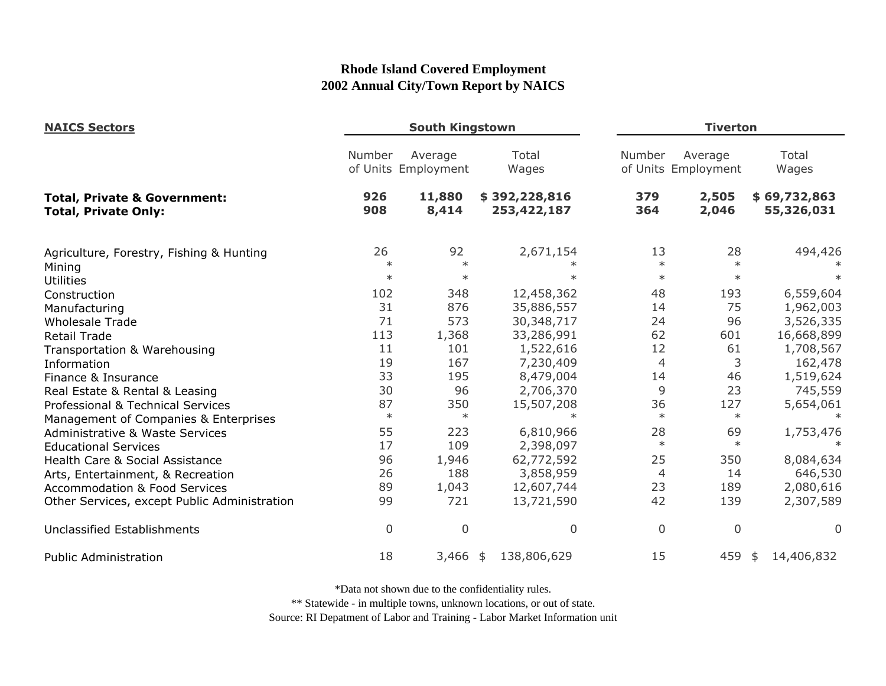| <b>NAICS Sectors</b>                                                   | <b>South Kingstown</b> |                                |                              |                | <b>Tiverton</b>                |                            |  |
|------------------------------------------------------------------------|------------------------|--------------------------------|------------------------------|----------------|--------------------------------|----------------------------|--|
|                                                                        | Number                 | Average<br>of Units Employment | Total<br>Wages               | Number         | Average<br>of Units Employment | Total<br>Wages             |  |
| <b>Total, Private &amp; Government:</b><br><b>Total, Private Only:</b> | 926<br>908             | 11,880<br>8,414                | \$392,228,816<br>253,422,187 | 379<br>364     | 2,505<br>2,046                 | \$69,732,863<br>55,326,031 |  |
| Agriculture, Forestry, Fishing & Hunting                               | 26<br>$\ast$           | 92<br>$\ast$                   | 2,671,154                    | 13<br>$\ast$   | 28<br>$\ast$                   | 494,426                    |  |
| Mining                                                                 | $\ast$                 | $\ast$                         |                              | $\ast$         | $\ast$                         |                            |  |
| Utilities                                                              | 102                    | 348                            | 12,458,362                   | 48             | 193                            | 6,559,604                  |  |
| Construction                                                           | 31                     | 876                            | 35,886,557                   | 14             | 75                             | 1,962,003                  |  |
| Manufacturing                                                          | 71                     | 573                            | 30,348,717                   | 24             | 96                             | 3,526,335                  |  |
| <b>Wholesale Trade</b><br><b>Retail Trade</b>                          | 113                    | 1,368                          | 33,286,991                   | 62             | 601                            | 16,668,899                 |  |
|                                                                        | 11                     | 101                            | 1,522,616                    | 12             | 61                             | 1,708,567                  |  |
| Transportation & Warehousing<br>Information                            | 19                     | 167                            | 7,230,409                    | $\overline{4}$ | 3                              | 162,478                    |  |
| Finance & Insurance                                                    | 33                     | 195                            | 8,479,004                    | 14             | 46                             | 1,519,624                  |  |
| Real Estate & Rental & Leasing                                         | 30                     | 96                             | 2,706,370                    | 9              | 23                             | 745,559                    |  |
| Professional & Technical Services                                      | 87                     | 350                            | 15,507,208                   | 36             | 127                            | 5,654,061                  |  |
| Management of Companies & Enterprises                                  | $\ast$                 | $\ast$                         | $\ast$                       | $\ast$         | $\ast$                         |                            |  |
| Administrative & Waste Services                                        | 55                     | 223                            | 6,810,966                    | 28             | 69                             | 1,753,476                  |  |
| <b>Educational Services</b>                                            | 17                     | 109                            | 2,398,097                    | $\ast$         | $\ast$                         |                            |  |
| Health Care & Social Assistance                                        | 96                     | 1,946                          | 62,772,592                   | 25             | 350                            | 8,084,634                  |  |
| Arts, Entertainment, & Recreation                                      | 26                     | 188                            | 3,858,959                    | 4              | 14                             | 646,530                    |  |
| <b>Accommodation &amp; Food Services</b>                               | 89                     | 1,043                          | 12,607,744                   | 23             | 189                            | 2,080,616                  |  |
| Other Services, except Public Administration                           | 99                     | 721                            | 13,721,590                   | 42             | 139                            | 2,307,589                  |  |
| Unclassified Establishments                                            | $\boldsymbol{0}$       | $\mathbf 0$                    | $\overline{0}$               | $\overline{0}$ | 0                              | $\overline{0}$             |  |
| <b>Public Administration</b>                                           | 18                     | $3,466$ \$                     | 138,806,629                  | 15             | 459                            | 14,406,832<br>\$           |  |

\*Data not shown due to the confidentiality rules.

\*\* Statewide - in multiple towns, unknown locations, or out of state.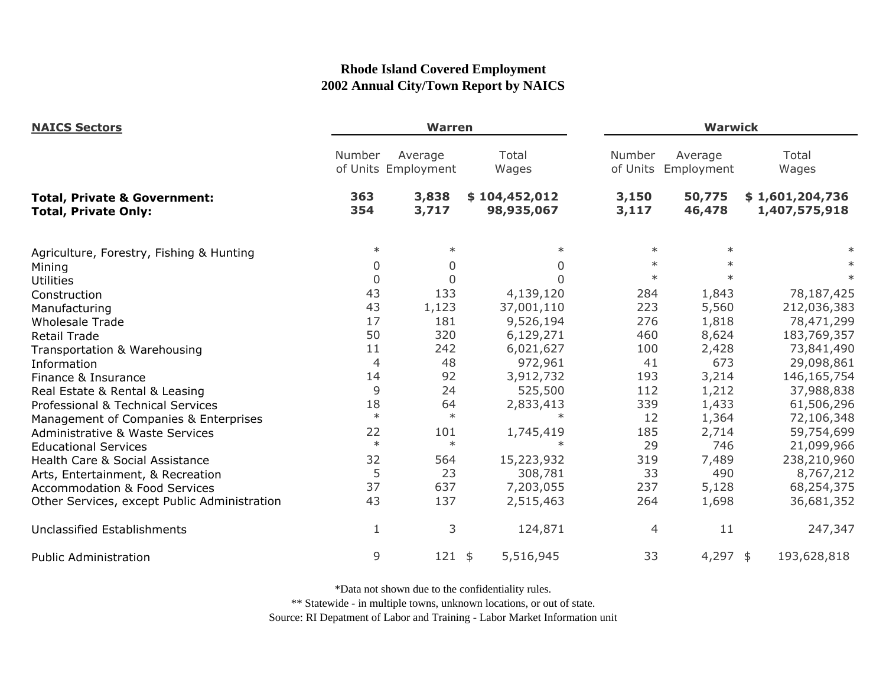| <b>NAICS Sectors</b>                                                   | <b>Warren</b> |                                |                             |                    | <b>Warwick</b>        |                                  |  |
|------------------------------------------------------------------------|---------------|--------------------------------|-----------------------------|--------------------|-----------------------|----------------------------------|--|
|                                                                        | Number        | Average<br>of Units Employment | Total<br>Wages              | Number<br>of Units | Average<br>Employment | Total<br>Wages                   |  |
| <b>Total, Private &amp; Government:</b><br><b>Total, Private Only:</b> | 363<br>354    | 3,838<br>3,717                 | \$104,452,012<br>98,935,067 | 3,150<br>3,117     | 50,775<br>46,478      | \$1,601,204,736<br>1,407,575,918 |  |
| Agriculture, Forestry, Fishing & Hunting                               | $\ast$        | $\ast$                         | $\ast$                      | $\ast$             | $\ast$                |                                  |  |
| Mining                                                                 | $\Omega$      | $\overline{0}$                 | $\mathbf{0}$                | $\ast$             | $\ast$                |                                  |  |
| <b>Utilities</b>                                                       | $\mathbf 0$   | $\mathbf 0$                    | $\Omega$                    | $\ast$             | $\ast$                | $\ast$                           |  |
| Construction                                                           | 43            | 133                            | 4,139,120                   | 284                | 1,843                 | 78,187,425                       |  |
| Manufacturing                                                          | 43            | 1,123                          | 37,001,110                  | 223                | 5,560                 | 212,036,383                      |  |
| <b>Wholesale Trade</b>                                                 | 17            | 181                            | 9,526,194                   | 276                | 1,818                 | 78,471,299                       |  |
| <b>Retail Trade</b>                                                    | 50            | 320                            | 6,129,271                   | 460                | 8,624                 | 183,769,357                      |  |
| Transportation & Warehousing                                           | 11            | 242                            | 6,021,627                   | 100                | 2,428                 | 73,841,490                       |  |
| Information                                                            | 4             | 48                             | 972,961                     | 41                 | 673                   | 29,098,861                       |  |
| Finance & Insurance                                                    | 14            | 92                             | 3,912,732                   | 193                | 3,214                 | 146, 165, 754                    |  |
| Real Estate & Rental & Leasing                                         | 9             | 24                             | 525,500                     | 112                | 1,212                 | 37,988,838                       |  |
| Professional & Technical Services                                      | 18            | 64                             | 2,833,413                   | 339                | 1,433                 | 61,506,296                       |  |
| Management of Companies & Enterprises                                  | $\ast$        | $\ast$                         | $\ast$                      | 12                 | 1,364                 | 72,106,348                       |  |
| <b>Administrative &amp; Waste Services</b>                             | 22            | 101                            | 1,745,419                   | 185                | 2,714                 | 59,754,699                       |  |
| <b>Educational Services</b>                                            | $\ast$        | $\ast$                         |                             | 29                 | 746                   | 21,099,966                       |  |
| Health Care & Social Assistance                                        | 32            | 564                            | 15,223,932                  | 319                | 7,489                 | 238,210,960                      |  |
| Arts, Entertainment, & Recreation                                      | 5             | 23                             | 308,781                     | 33                 | 490                   | 8,767,212                        |  |
| <b>Accommodation &amp; Food Services</b>                               | 37            | 637                            | 7,203,055                   | 237                | 5,128                 | 68,254,375                       |  |
| Other Services, except Public Administration                           | 43            | 137                            | 2,515,463                   | 264                | 1,698                 | 36,681,352                       |  |
| Unclassified Establishments                                            | 1             | 3                              | 124,871                     | $\overline{4}$     | 11                    | 247,347                          |  |
| <b>Public Administration</b>                                           | 9             | $121$ \$                       | 5,516,945                   | 33                 | 4,297 \$              | 193,628,818                      |  |

\*Data not shown due to the confidentiality rules.

\*\* Statewide - in multiple towns, unknown locations, or out of state.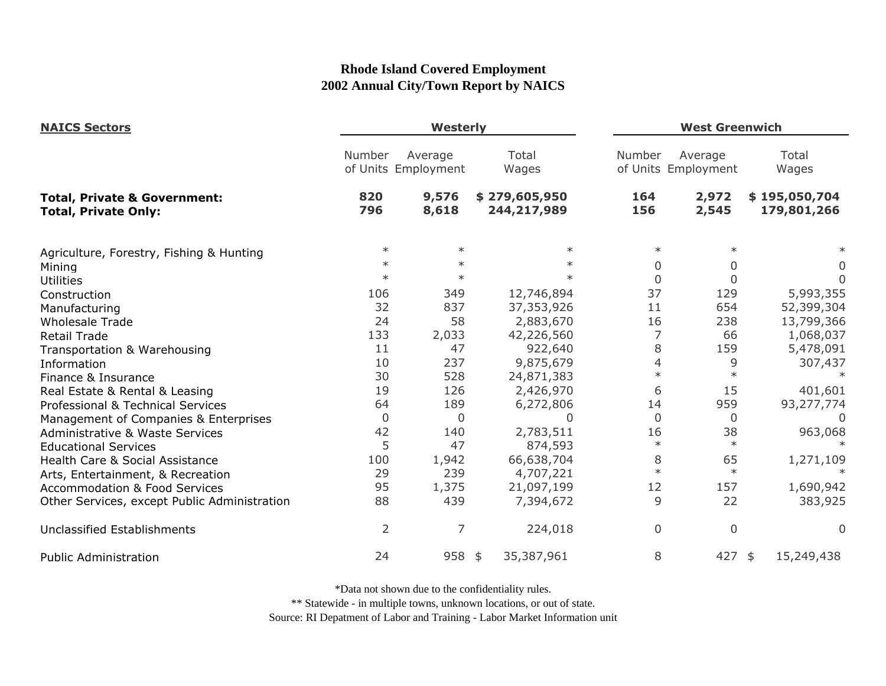| <b>NAICS Sectors</b><br><b>Total, Private &amp; Government:</b><br><b>Total, Private Only:</b> | <b>Westerly</b> |                                |                              |                | <b>West Greenwich</b>          |                              |  |
|------------------------------------------------------------------------------------------------|-----------------|--------------------------------|------------------------------|----------------|--------------------------------|------------------------------|--|
|                                                                                                | Number          | Average<br>of Units Employment | Total<br>Wages               | Number         | Average<br>of Units Employment | Total<br>Wages               |  |
|                                                                                                | 820<br>796      | 9,576<br>8,618                 | \$279,605,950<br>244,217,989 | 164<br>156     | 2,972<br>2,545                 | \$195,050,704<br>179,801,266 |  |
| Agriculture, Forestry, Fishing & Hunting                                                       | $\ast$          | $\ast$                         | $\ast$                       | $\ast$         | $\ast$                         |                              |  |
| Mining                                                                                         | $\ast$          | $\ast$                         | $\ast$                       | 0              | 0                              | 0                            |  |
| <b>Utilities</b>                                                                               | $\ast$          | $\ast$                         | $\star$                      | $\overline{0}$ | $\mathbf 0$                    | $\Omega$                     |  |
| Construction                                                                                   | 106             | 349                            | 12,746,894                   | 37             | 129                            | 5,993,355                    |  |
| Manufacturing                                                                                  | 32              | 837                            | 37,353,926                   | 11             | 654                            | 52,399,304                   |  |
| <b>Wholesale Trade</b>                                                                         | 24              | 58                             | 2,883,670                    | 16             | 238                            | 13,799,366                   |  |
| Retail Trade                                                                                   | 133             | 2,033                          | 42,226,560                   | 7              | 66                             | 1,068,037                    |  |
| Transportation & Warehousing                                                                   | 11              | 47                             | 922,640                      | 8              | 159                            | 5,478,091                    |  |
| Information                                                                                    | 10              | 237                            | 9,875,679                    | 4              | 9                              | 307,437                      |  |
| Finance & Insurance                                                                            | 30              | 528                            | 24,871,383                   | $\ast$         | $\ast$                         |                              |  |
| Real Estate & Rental & Leasing                                                                 | 19              | 126                            | 2,426,970                    | 6              | 15                             | 401,601                      |  |
| Professional & Technical Services                                                              | 64              | 189                            | 6,272,806                    | 14             | 959                            | 93,277,774                   |  |
| Management of Companies & Enterprises                                                          | $\Omega$        | 0                              | 0                            | $\mathbf{0}$   | 0                              | $\Omega$                     |  |
| Administrative & Waste Services                                                                | 42              | 140                            | 2,783,511                    | 16             | 38                             | 963,068                      |  |
| <b>Educational Services</b>                                                                    | 5               | 47                             | 874,593                      | $\ast$         | $\ast$                         |                              |  |
| Health Care & Social Assistance                                                                | 100             | 1,942                          | 66,638,704                   | 8              | 65                             | 1,271,109                    |  |
| Arts, Entertainment, & Recreation                                                              | 29              | 239                            | 4,707,221                    | $\ast$         | $\ast$                         |                              |  |
| <b>Accommodation &amp; Food Services</b>                                                       | 95              | 1,375                          | 21,097,199                   | 12             | 157                            | 1,690,942                    |  |
| Other Services, except Public Administration                                                   | 88              | 439                            | 7,394,672                    | 9              | 22                             | 383,925                      |  |
| Unclassified Establishments                                                                    | 2               | 7                              | 224,018                      | 0              | $\overline{0}$                 | $\Omega$                     |  |
| <b>Public Administration</b>                                                                   | 24              | 958                            | 35,387,961<br>\$             | 8              | $427$ \$                       | 15,249,438                   |  |

\*Data not shown due to the confidentiality rules.

\*\* Statewide - in multiple towns, unknown locations, or out of state.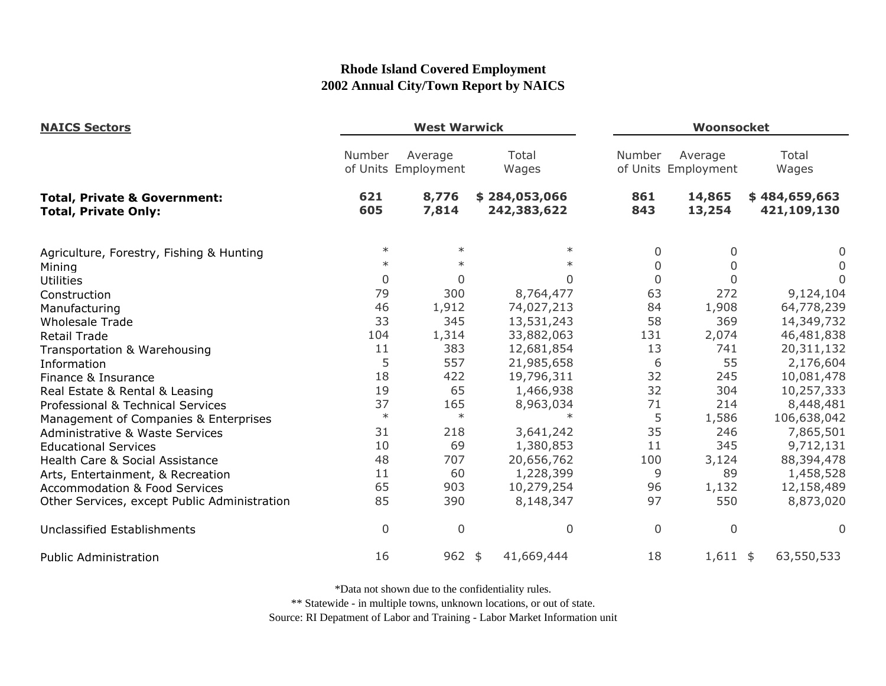| <b>NAICS Sectors</b>                                                   | <b>West Warwick</b> |                                |                              |             | Woonsocket                     |                              |  |
|------------------------------------------------------------------------|---------------------|--------------------------------|------------------------------|-------------|--------------------------------|------------------------------|--|
|                                                                        | Number              | Average<br>of Units Employment | Total<br>Wages               | Number      | Average<br>of Units Employment | Total<br>Wages               |  |
| <b>Total, Private &amp; Government:</b><br><b>Total, Private Only:</b> | 621<br>605          | 8,776<br>7,814                 | \$284,053,066<br>242,383,622 | 861<br>843  | 14,865<br>13,254               | \$484,659,663<br>421,109,130 |  |
| Agriculture, Forestry, Fishing & Hunting                               | $\ast$              | $\ast$                         | $\ast$                       | 0           | 0                              | 0                            |  |
| Mining                                                                 | $\ast$              | $\ast$                         | $\ast$                       | 0           | 0                              | 0                            |  |
| <b>Utilities</b>                                                       | $\mathbf{0}$        | $\Omega$                       | 0                            | $\mathbf 0$ | $\Omega$                       | 0                            |  |
| Construction                                                           | 79                  | 300                            | 8,764,477                    | 63          | 272                            | 9,124,104                    |  |
| Manufacturing                                                          | 46                  | 1,912                          | 74,027,213                   | 84          | 1,908                          | 64,778,239                   |  |
| <b>Wholesale Trade</b>                                                 | 33                  | 345                            | 13,531,243                   | 58          | 369                            | 14,349,732                   |  |
| <b>Retail Trade</b>                                                    | 104                 | 1,314                          | 33,882,063                   | 131         | 2,074                          | 46,481,838                   |  |
| Transportation & Warehousing                                           | 11                  | 383                            | 12,681,854                   | 13          | 741                            | 20,311,132                   |  |
| Information                                                            | 5                   | 557                            | 21,985,658                   | 6           | 55                             | 2,176,604                    |  |
| Finance & Insurance                                                    | 18                  | 422                            | 19,796,311                   | 32          | 245                            | 10,081,478                   |  |
| Real Estate & Rental & Leasing                                         | 19                  | 65                             | 1,466,938                    | 32          | 304                            | 10,257,333                   |  |
| Professional & Technical Services                                      | 37                  | 165                            | 8,963,034                    | 71          | 214                            | 8,448,481                    |  |
| Management of Companies & Enterprises                                  | $\ast$              | $\ast$                         | $\ast$                       | 5           | 1,586                          | 106,638,042                  |  |
| <b>Administrative &amp; Waste Services</b>                             | 31                  | 218                            | 3,641,242                    | 35          | 246                            | 7,865,501                    |  |
| <b>Educational Services</b>                                            | 10                  | 69                             | 1,380,853                    | 11          | 345                            | 9,712,131                    |  |
| Health Care & Social Assistance                                        | 48                  | 707                            | 20,656,762                   | 100         | 3,124                          | 88,394,478                   |  |
| Arts, Entertainment, & Recreation                                      | 11                  | 60                             | 1,228,399                    | 9           | 89                             | 1,458,528                    |  |
| <b>Accommodation &amp; Food Services</b>                               | 65                  | 903                            | 10,279,254                   | 96          | 1,132                          | 12,158,489                   |  |
| Other Services, except Public Administration                           | 85                  | 390                            | 8,148,347                    | 97          | 550                            | 8,873,020                    |  |
| Unclassified Establishments                                            | $\overline{0}$      | $\overline{0}$                 | $\overline{0}$               | 0           | 0                              | 0                            |  |
| <b>Public Administration</b>                                           | 16                  | $962$ \$                       | 41,669,444                   | 18          | $1,611$ \$                     | 63,550,533                   |  |

\*Data not shown due to the confidentiality rules.

\*\* Statewide - in multiple towns, unknown locations, or out of state.